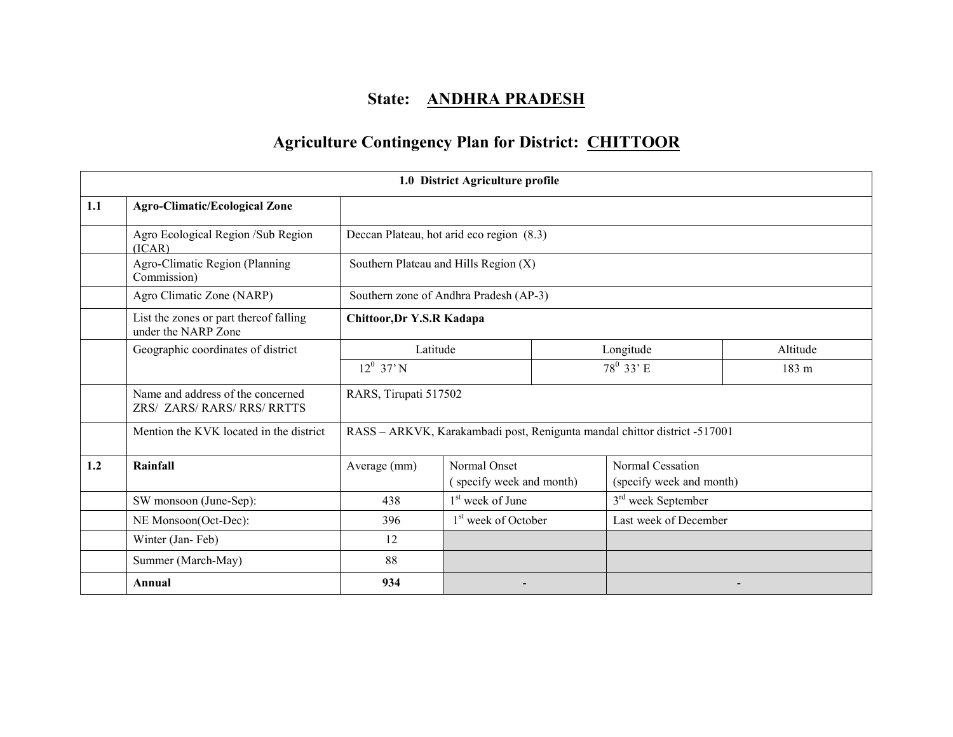# State: ANDHRA PRADESH

# Agriculture Contingency Plan for District: CHITTOOR

|     |                                                                  |                           | 1.0 District Agriculture profile          |           |                                                                           |       |  |
|-----|------------------------------------------------------------------|---------------------------|-------------------------------------------|-----------|---------------------------------------------------------------------------|-------|--|
| 1.1 | <b>Agro-Climatic/Ecological Zone</b>                             |                           |                                           |           |                                                                           |       |  |
|     | Agro Ecological Region /Sub Region<br>(ICAR)                     |                           | Deccan Plateau, hot arid eco region (8.3) |           |                                                                           |       |  |
|     | Agro-Climatic Region (Planning<br>Commission)                    |                           | Southern Plateau and Hills Region $(X)$   |           |                                                                           |       |  |
|     | Agro Climatic Zone (NARP)                                        |                           | Southern zone of Andhra Pradesh (AP-3)    |           |                                                                           |       |  |
|     | List the zones or part thereof falling<br>under the NARP Zone    | Chittoor, Dr Y.S.R Kadapa |                                           |           |                                                                           |       |  |
|     | Geographic coordinates of district                               | Latitude                  |                                           | Longitude | Altitude                                                                  |       |  |
|     |                                                                  | $12^0$ 37' N              |                                           |           | $78^0$ 33' E                                                              | 183 m |  |
|     | Name and address of the concerned<br>ZRS/ ZARS/ RARS/ RRS/ RRTTS | RARS, Tirupati 517502     |                                           |           |                                                                           |       |  |
|     | Mention the KVK located in the district                          |                           |                                           |           | RASS - ARKVK, Karakambadi post, Renigunta mandal chittor district -517001 |       |  |
| 1.2 | Rainfall                                                         | Average (mm)              | Normal Onset                              |           | <b>Normal Cessation</b>                                                   |       |  |
|     |                                                                  |                           | (specify week and month)                  |           | (specify week and month)                                                  |       |  |
|     | SW monsoon (June-Sep):                                           | 438                       | 1 <sup>st</sup> week of June              |           | 3 <sup>rd</sup> week September                                            |       |  |
|     | NE Monsoon(Oct-Dec):                                             | 396                       | 1 <sup>st</sup> week of October           |           | Last week of December                                                     |       |  |
|     | Winter (Jan-Feb)                                                 | 12                        |                                           |           |                                                                           |       |  |
|     | Summer (March-May)                                               | 88                        |                                           |           |                                                                           |       |  |
|     | Annual                                                           | 934                       |                                           |           |                                                                           |       |  |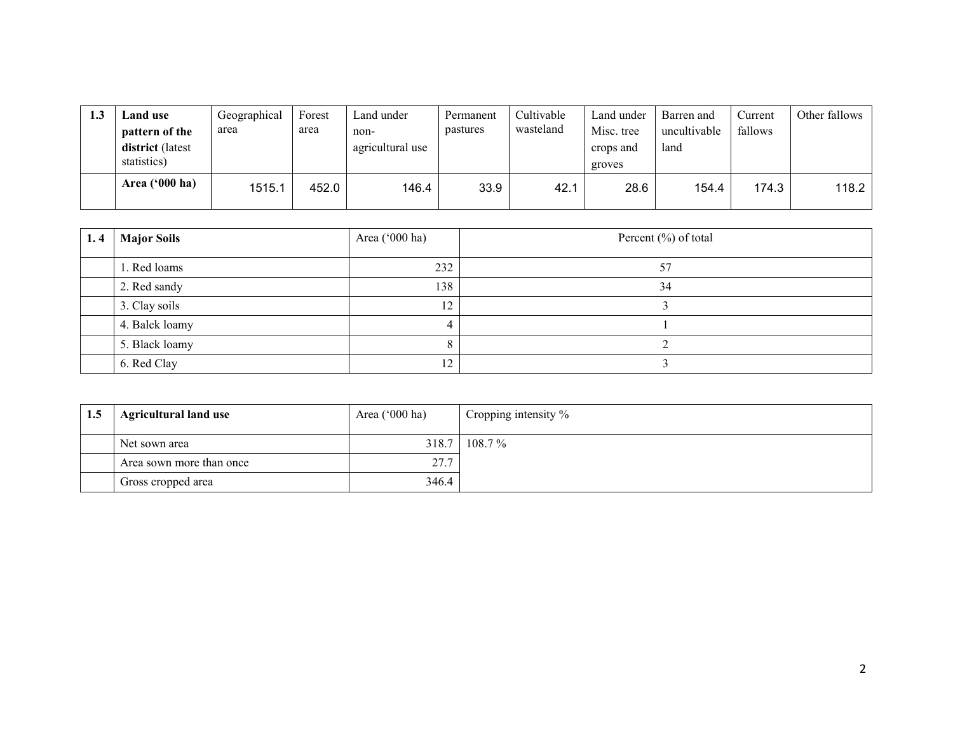| 1.3 | <b>Land</b> use<br>pattern of the<br>district (latest<br>statistics) | Geographical<br>area | Forest<br>area | Land under<br>non-<br>agricultural use | Permanent<br>pastures | Cultivable<br>wasteland | Land under<br>Misc. tree<br>crops and<br>groves | Barren and<br>uncultivable<br>land | Current<br>fallows | Other fallows |
|-----|----------------------------------------------------------------------|----------------------|----------------|----------------------------------------|-----------------------|-------------------------|-------------------------------------------------|------------------------------------|--------------------|---------------|
|     | Area $(900 \text{ ha})$                                              | 1515.1               | 452.0          | 146.4                                  | 33.9                  | 42.1                    | 28.6                                            | 154.4                              | 174.3              | 118.2         |

| 1.4 | <b>Major Soils</b> | Area ('000 ha) | Percent $(\% )$ of total |
|-----|--------------------|----------------|--------------------------|
|     | 1. Red loams       | 232            | 57                       |
|     | 2. Red sandy       | 138            | 34                       |
|     | 3. Clay soils      | 12             |                          |
|     | 4. Balck loamy     |                |                          |
|     | 5. Black loamy     |                |                          |
|     | 6. Red Clay        | 12             |                          |

| 1.5 | <b>Agricultural land use</b> | Area ('000 ha) | Cropping intensity % |
|-----|------------------------------|----------------|----------------------|
|     | Net sown area                |                | 318.7 108.7%         |
|     | Area sown more than once     | 27.7           |                      |
|     | Gross cropped area           | 346.4          |                      |
|     |                              |                |                      |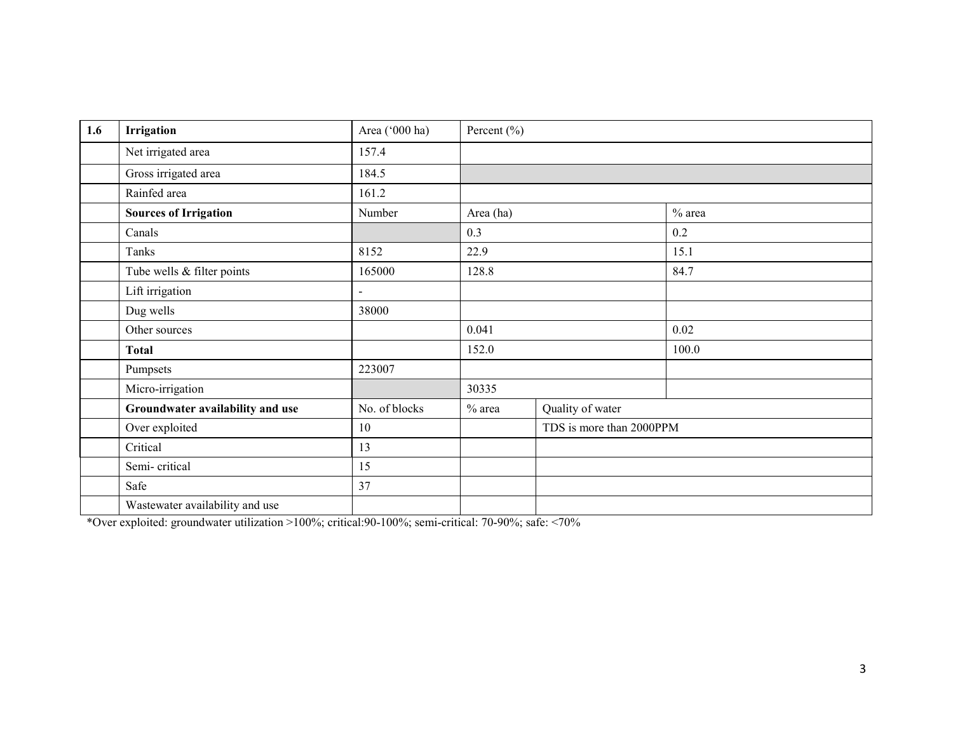| 1.6 | Irrigation                       | Area ('000 ha) | Percent $(\% )$ |                          |          |
|-----|----------------------------------|----------------|-----------------|--------------------------|----------|
|     | Net irrigated area               | 157.4          |                 |                          |          |
|     | Gross irrigated area             | 184.5          |                 |                          |          |
|     | Rainfed area                     | 161.2          |                 |                          |          |
|     | <b>Sources of Irrigation</b>     | Number         | Area (ha)       |                          | $%$ area |
|     | Canals                           |                | 0.3             |                          | 0.2      |
|     | Tanks                            | 8152           | 22.9            |                          | 15.1     |
|     | Tube wells & filter points       | 165000         | 128.8           |                          | 84.7     |
|     | Lift irrigation                  | $\blacksquare$ |                 |                          |          |
|     | Dug wells                        | 38000          |                 |                          |          |
|     | Other sources                    |                | 0.041           |                          | 0.02     |
|     | <b>Total</b>                     |                | 152.0           |                          | 100.0    |
|     | Pumpsets                         | 223007         |                 |                          |          |
|     | Micro-irrigation                 |                | 30335           |                          |          |
|     | Groundwater availability and use | No. of blocks  | $%$ area        | Quality of water         |          |
|     | Over exploited                   | 10             |                 | TDS is more than 2000PPM |          |
|     | Critical                         | 13             |                 |                          |          |
|     | Semi-critical                    | 15             |                 |                          |          |
|     | Safe                             | 37             |                 |                          |          |
|     | Wastewater availability and use  |                |                 |                          |          |

\*Over exploited: groundwater utilization >100%; critical:90-100%; semi-critical: 70-90%; safe: <70%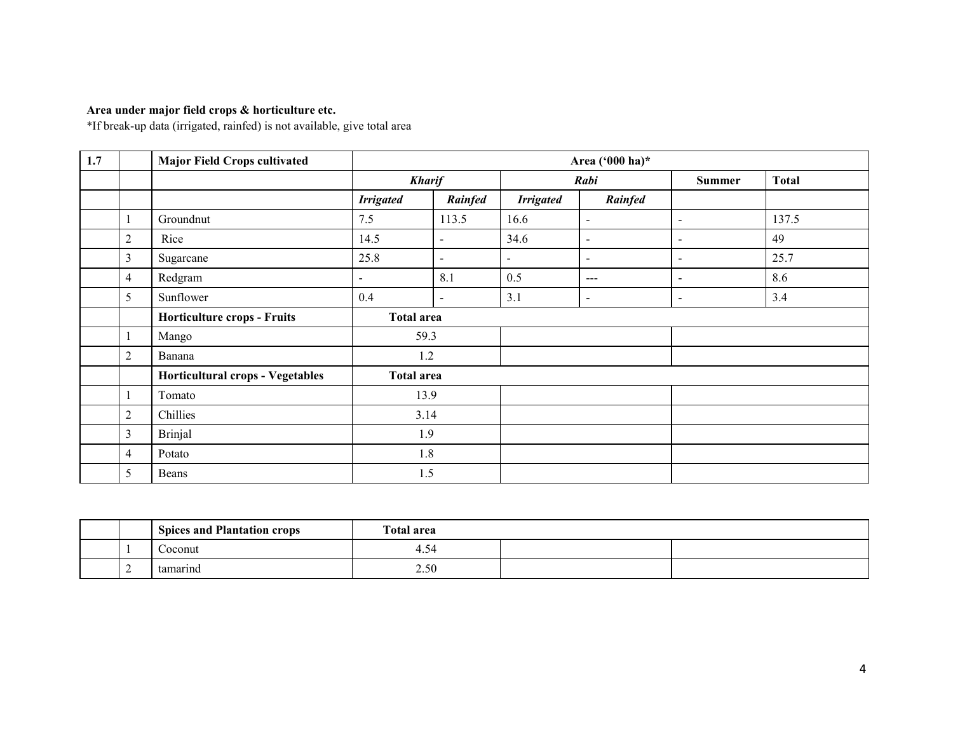# Area under major field crops & horticulture etc.

\*If break-up data (irrigated, rainfed) is not available, give total area

| 1.7 |                | <b>Major Field Crops cultivated</b> |                   |                          |                  | Area ('000 ha)*          |                          |              |
|-----|----------------|-------------------------------------|-------------------|--------------------------|------------------|--------------------------|--------------------------|--------------|
|     |                |                                     | <b>Kharif</b>     |                          |                  | Rabi                     | <b>Summer</b>            | <b>Total</b> |
|     |                |                                     | <b>Irrigated</b>  | Rainfed                  | <b>Irrigated</b> | Rainfed                  |                          |              |
|     | 1              | Groundnut                           | 7.5               | 113.5                    | 16.6             | $\blacksquare$           | $\sim$                   | 137.5        |
|     | $\overline{2}$ | Rice                                | 14.5              | $\overline{\phantom{a}}$ | 34.6             | $\blacksquare$           | $\overline{\phantom{a}}$ | 49           |
|     | 3              | Sugarcane                           | 25.8              | $\blacksquare$           | $\blacksquare$   | $\sim$                   | $\sim$                   | 25.7         |
|     | 4              | Redgram                             | $\sim$            | 8.1                      | 0.5              | $---$                    | $\overline{\phantom{a}}$ | 8.6          |
|     | 5              | Sunflower                           | 0.4               | $\overline{\phantom{a}}$ | 3.1              | $\overline{\phantom{a}}$ | $\sim$                   | 3.4          |
|     |                | <b>Horticulture crops - Fruits</b>  | <b>Total area</b> |                          |                  |                          |                          |              |
|     | 1              | Mango                               | 59.3              |                          |                  |                          |                          |              |
|     | $\overline{2}$ | Banana                              | 1.2               |                          |                  |                          |                          |              |
|     |                | Horticultural crops - Vegetables    | <b>Total area</b> |                          |                  |                          |                          |              |
|     | 1              | Tomato                              | 13.9              |                          |                  |                          |                          |              |
|     | $\overline{c}$ | Chillies                            | 3.14              |                          |                  |                          |                          |              |
|     | 3              | Brinjal                             | 1.9               |                          |                  |                          |                          |              |
|     | $\overline{4}$ | Potato                              | 1.8               |                          |                  |                          |                          |              |
|     | 5              | Beans                               | 1.5               |                          |                  |                          |                          |              |

|   | <b>Spices and Plantation crops</b> | <b>Total area</b>                |  |
|---|------------------------------------|----------------------------------|--|
|   | .oconut                            | $\overline{\phantom{0}}$<br>4.54 |  |
| ∼ | tamarınd                           | 2.50                             |  |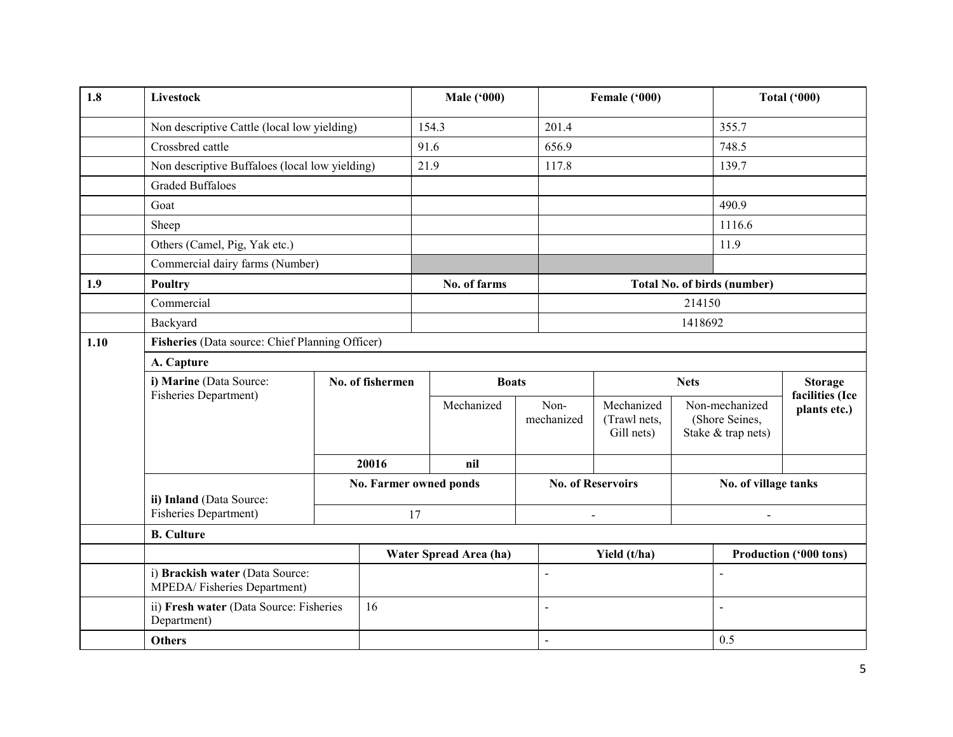| 1.8  | <b>Livestock</b>                                               |                                                 |       | <b>Male ('000)</b>            |                          | Female ('000)                            |         |                                                        | <b>Total ('000)</b>               |  |  |
|------|----------------------------------------------------------------|-------------------------------------------------|-------|-------------------------------|--------------------------|------------------------------------------|---------|--------------------------------------------------------|-----------------------------------|--|--|
|      | Non descriptive Cattle (local low yielding)                    |                                                 |       | 154.3                         | 201.4                    |                                          |         | 355.7                                                  |                                   |  |  |
|      | Crossbred cattle                                               |                                                 | 91.6  |                               | 656.9                    |                                          |         | 748.5                                                  |                                   |  |  |
|      | Non descriptive Buffaloes (local low yielding)                 |                                                 |       | 21.9                          | 117.8                    |                                          |         | 139.7                                                  |                                   |  |  |
|      | <b>Graded Buffaloes</b>                                        |                                                 |       |                               |                          |                                          |         |                                                        |                                   |  |  |
|      | Goat                                                           |                                                 |       |                               |                          |                                          |         | 490.9                                                  |                                   |  |  |
|      | Sheep                                                          |                                                 |       |                               |                          |                                          |         | 1116.6                                                 |                                   |  |  |
|      | Others (Camel, Pig, Yak etc.)                                  |                                                 |       |                               |                          |                                          |         | 11.9                                                   |                                   |  |  |
|      | Commercial dairy farms (Number)                                |                                                 |       |                               |                          |                                          |         |                                                        |                                   |  |  |
| 1.9  | <b>Poultry</b>                                                 |                                                 |       | No. of farms                  |                          |                                          |         | <b>Total No. of birds (number)</b>                     |                                   |  |  |
|      | Commercial                                                     |                                                 |       |                               |                          |                                          | 214150  |                                                        |                                   |  |  |
|      | Backyard                                                       |                                                 |       |                               |                          |                                          | 1418692 |                                                        |                                   |  |  |
| 1.10 |                                                                | Fisheries (Data source: Chief Planning Officer) |       |                               |                          |                                          |         |                                                        |                                   |  |  |
|      | A. Capture                                                     |                                                 |       |                               |                          |                                          |         |                                                        |                                   |  |  |
|      | i) Marine (Data Source:<br>Fisheries Department)               | No. of fishermen                                |       |                               | <b>Boats</b>             | <b>Nets</b>                              |         |                                                        | <b>Storage</b><br>facilities (Ice |  |  |
|      |                                                                |                                                 |       | Mechanized                    | Non-<br>mechanized       | Mechanized<br>(Trawl nets,<br>Gill nets) |         | Non-mechanized<br>(Shore Seines,<br>Stake & trap nets) | plants etc.)                      |  |  |
|      |                                                                |                                                 | 20016 | nil                           |                          |                                          |         |                                                        |                                   |  |  |
|      | ii) Inland (Data Source:                                       |                                                 |       | <b>No. Farmer owned ponds</b> |                          | <b>No. of Reservoirs</b>                 |         | No. of village tanks                                   |                                   |  |  |
|      | <b>Fisheries Department)</b>                                   |                                                 |       | 17                            |                          | $\sim$                                   |         | $\overline{a}$                                         |                                   |  |  |
|      | <b>B.</b> Culture                                              |                                                 |       |                               |                          |                                          |         |                                                        |                                   |  |  |
|      |                                                                |                                                 |       | Water Spread Area (ha)        |                          | Yield (t/ha)                             |         |                                                        | Production ('000 tons)            |  |  |
|      | i) Brackish water (Data Source:<br>MPEDA/Fisheries Department) |                                                 |       |                               | $\overline{\phantom{a}}$ |                                          |         |                                                        |                                   |  |  |
|      | ii) Fresh water (Data Source: Fisheries<br>Department)         |                                                 | 16    |                               | $\blacksquare$           |                                          |         |                                                        |                                   |  |  |
|      | <b>Others</b>                                                  |                                                 |       |                               | $\blacksquare$           |                                          |         | 0.5                                                    |                                   |  |  |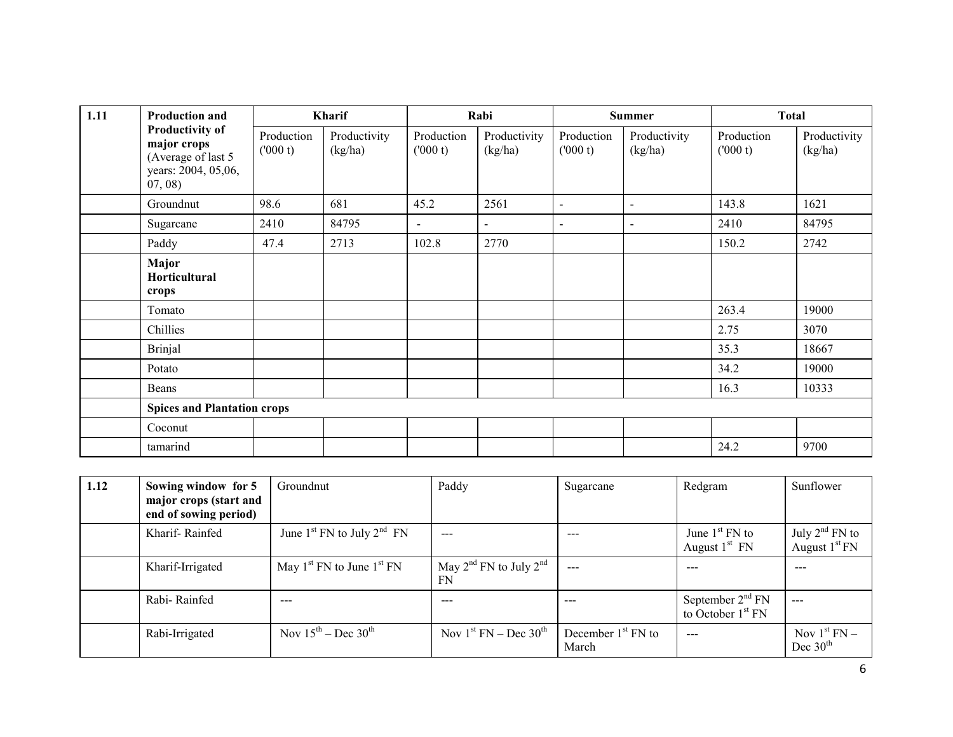| 1.11 | <b>Production and</b>                                                                        | Kharif                |                         | Rabi                  |                         | <b>Summer</b>         |                          | <b>Total</b>          |                         |
|------|----------------------------------------------------------------------------------------------|-----------------------|-------------------------|-----------------------|-------------------------|-----------------------|--------------------------|-----------------------|-------------------------|
|      | <b>Productivity of</b><br>major crops<br>(Average of last 5<br>years: 2004, 05,06,<br>07,08) | Production<br>(000 t) | Productivity<br>(kg/ha) | Production<br>(000 t) | Productivity<br>(kg/ha) | Production<br>(000 t) | Productivity<br>(kg/ha)  | Production<br>(000 t) | Productivity<br>(kg/ha) |
|      | Groundnut                                                                                    | 98.6                  | 681                     | 45.2                  | 2561                    | $\sim$                | $\overline{\phantom{a}}$ | 143.8                 | 1621                    |
|      | Sugarcane                                                                                    | 2410                  | 84795                   | $\sim$                | $\blacksquare$          | $\sim$                | $\overline{\phantom{a}}$ | 2410                  | 84795                   |
|      | Paddy                                                                                        | 47.4                  | 2713                    | 102.8                 | 2770                    |                       |                          | 150.2                 | 2742                    |
|      | Major<br>Horticultural<br>crops                                                              |                       |                         |                       |                         |                       |                          |                       |                         |
|      | Tomato                                                                                       |                       |                         |                       |                         |                       |                          | 263.4                 | 19000                   |
|      | Chillies                                                                                     |                       |                         |                       |                         |                       |                          | 2.75                  | 3070                    |
|      | <b>Brinjal</b>                                                                               |                       |                         |                       |                         |                       |                          | 35.3                  | 18667                   |
|      | Potato                                                                                       |                       |                         |                       |                         |                       |                          | 34.2                  | 19000                   |
|      | Beans                                                                                        |                       |                         |                       |                         |                       |                          | 16.3                  | 10333                   |
|      | <b>Spices and Plantation crops</b>                                                           |                       |                         |                       |                         |                       |                          |                       |                         |
|      | Coconut                                                                                      |                       |                         |                       |                         |                       |                          |                       |                         |
|      | tamarind                                                                                     |                       |                         |                       |                         |                       |                          | 24.2                  | 9700                    |

| 1.12 | Sowing window for 5<br>major crops (start and<br>end of sowing period) | Groundnut                                         | Paddy                                         | Sugarcane                     | Redgram                                             | Sunflower                           |
|------|------------------------------------------------------------------------|---------------------------------------------------|-----------------------------------------------|-------------------------------|-----------------------------------------------------|-------------------------------------|
|      | Kharif-Rainfed                                                         | June $1^{st}$ FN to July $2^{nd}$ FN              | $\qquad \qquad - \qquad -$                    | $\frac{1}{2}$                 | June $1st$ FN to<br>August $1st$ FN                 | July $2nd$ FN to<br>August $1st FN$ |
|      | Kharif-Irrigated                                                       | May $1^{\text{st}}$ FN to June $1^{\text{st}}$ FN | May $2^{nd}$ FN to July $2^{nd}$<br><b>FN</b> | ---                           |                                                     | $- - -$                             |
|      | Rabi-Rainfed                                                           | $- - -$                                           | $---$                                         | $---$                         | September $2nd$ FN<br>to October 1 <sup>st</sup> FN | ---                                 |
|      | Rabi-Irrigated                                                         | Nov $15^{th}$ – Dec $30^{th}$                     | Nov $1st FN – Dec 30th$                       | December $1st$ FN to<br>March | ---                                                 | Nov $1st FN -$<br>Dec $30th$        |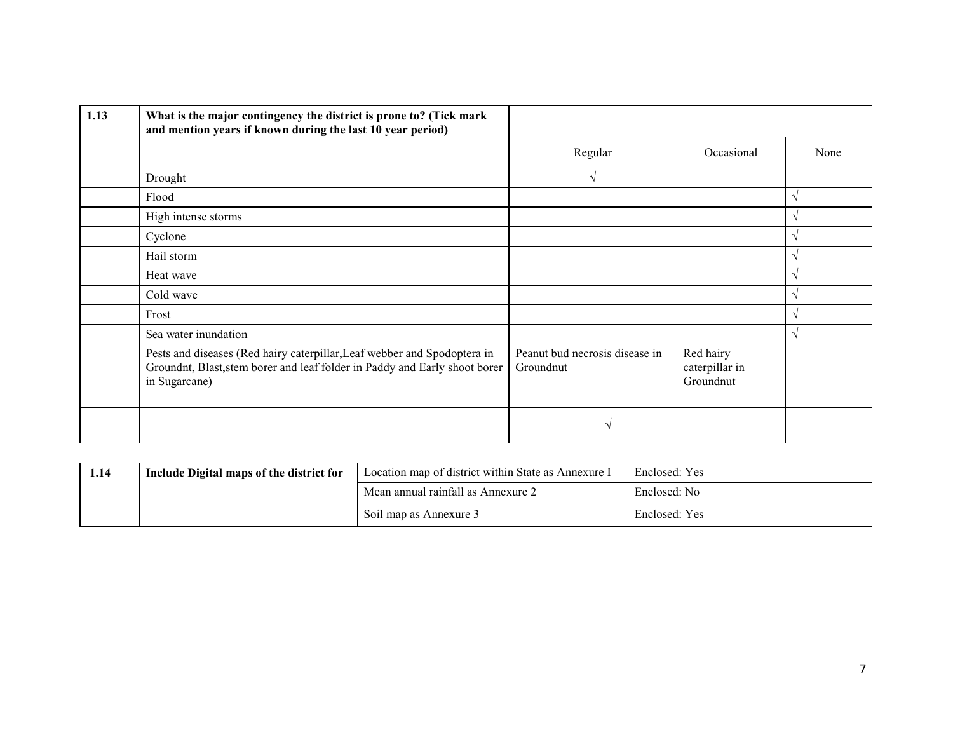| 1.13 | What is the major contingency the district is prone to? (Tick mark<br>and mention years if known during the last 10 year period)                                        |                                             |                                          |            |
|------|-------------------------------------------------------------------------------------------------------------------------------------------------------------------------|---------------------------------------------|------------------------------------------|------------|
|      |                                                                                                                                                                         | Regular                                     | Occasional                               | None       |
|      | Drought                                                                                                                                                                 | V                                           |                                          |            |
|      | Flood                                                                                                                                                                   |                                             |                                          | $\sqrt{ }$ |
|      | High intense storms                                                                                                                                                     |                                             |                                          | V          |
|      | Cyclone                                                                                                                                                                 |                                             |                                          | N          |
|      | Hail storm                                                                                                                                                              |                                             |                                          | V          |
|      | Heat wave                                                                                                                                                               |                                             |                                          | V          |
|      | Cold wave                                                                                                                                                               |                                             |                                          | $\sqrt{ }$ |
|      | Frost                                                                                                                                                                   |                                             |                                          | $\sqrt{ }$ |
|      | Sea water inundation                                                                                                                                                    |                                             |                                          | $\sqrt{ }$ |
|      | Pests and diseases (Red hairy caterpillar, Leaf webber and Spodoptera in<br>Groundnt, Blast, stem borer and leaf folder in Paddy and Early shoot borer<br>in Sugarcane) | Peanut bud necrosis disease in<br>Groundnut | Red hairy<br>caterpillar in<br>Groundnut |            |
|      |                                                                                                                                                                         |                                             |                                          |            |

| 1.14 | Include Digital maps of the district for | Location map of district within State as Annexure I | Enclosed: Yes |
|------|------------------------------------------|-----------------------------------------------------|---------------|
|      |                                          | Mean annual rainfall as Annexure 2                  | Enclosed: No  |
|      |                                          | Soil map as Annexure 3                              | Enclosed: Yes |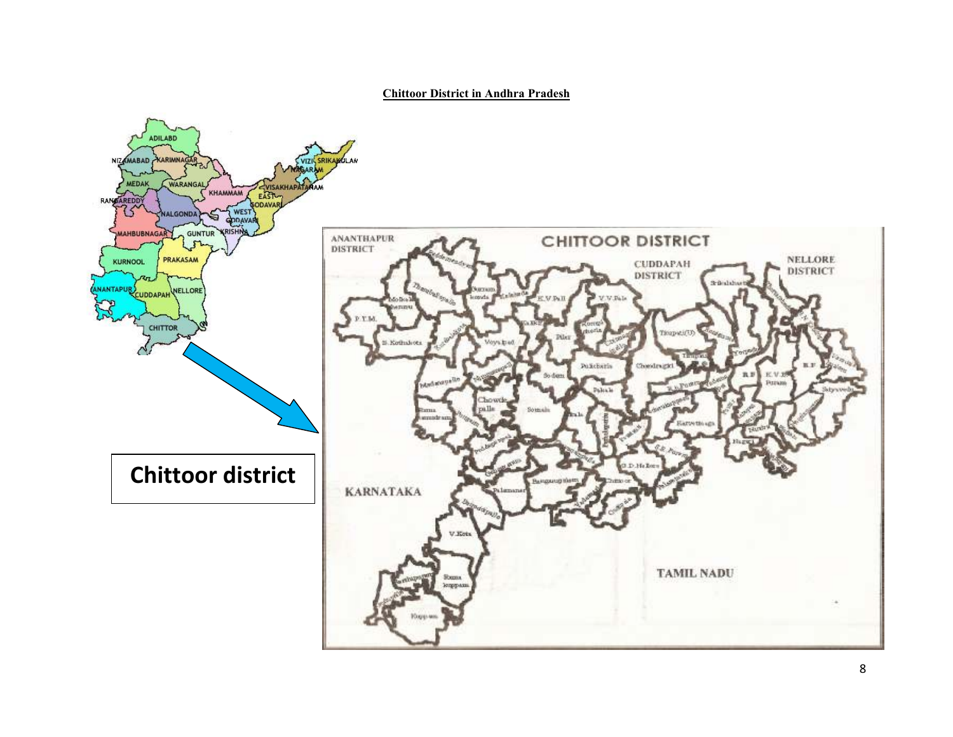Chittoor District in Andhra Pradesh

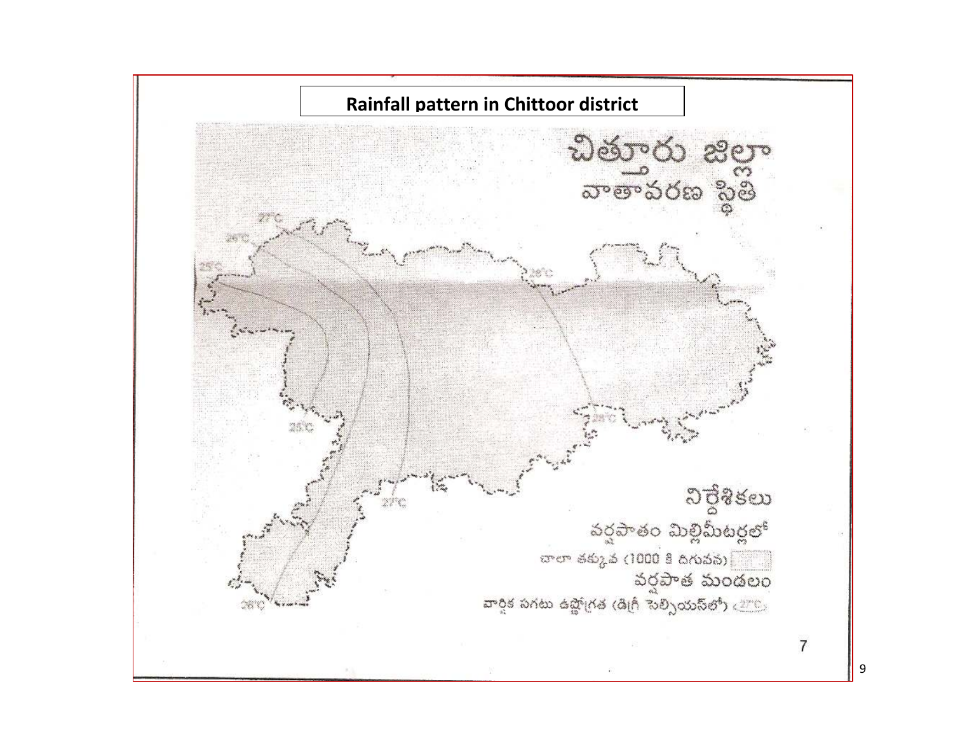

9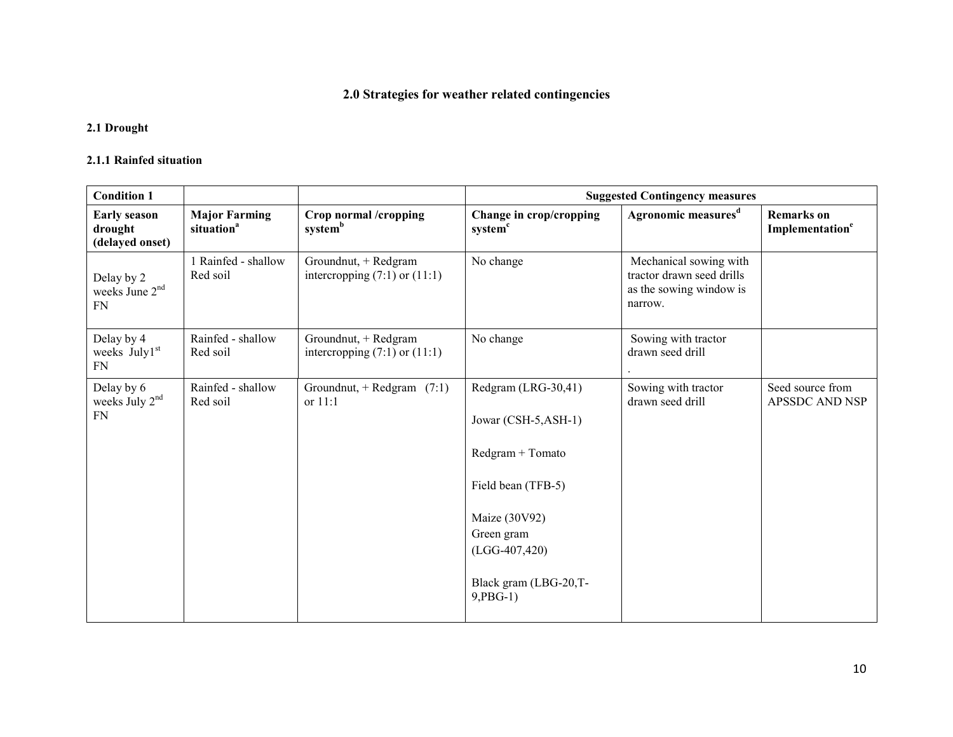# 2.0 Strategies for weather related contingencies

### 2.1 Drought

#### 2.1.1 Rainfed situation

| <b>Condition 1</b>                                    |                                                |                                                           |                                                                                                                                                                                  | <b>Suggested Contingency measures</b>                                                     |                                                  |
|-------------------------------------------------------|------------------------------------------------|-----------------------------------------------------------|----------------------------------------------------------------------------------------------------------------------------------------------------------------------------------|-------------------------------------------------------------------------------------------|--------------------------------------------------|
| <b>Early season</b><br>drought<br>(delayed onset)     | <b>Major Farming</b><br>situation <sup>a</sup> | Crop normal /cropping<br>system <sup>b</sup>              | Change in crop/cropping<br>system <sup>c</sup>                                                                                                                                   | Agronomic measures <sup>d</sup>                                                           | <b>Remarks</b> on<br>Implementation <sup>e</sup> |
| Delay by 2<br>weeks June 2 <sup>nd</sup><br><b>FN</b> | 1 Rainfed - shallow<br>Red soil                | Groundnut, + Redgram<br>intercropping $(7:1)$ or $(11:1)$ | No change                                                                                                                                                                        | Mechanical sowing with<br>tractor drawn seed drills<br>as the sowing window is<br>narrow. |                                                  |
| Delay by 4<br>weeks July1 <sup>st</sup><br><b>FN</b>  | Rainfed - shallow<br>Red soil                  | Groundnut, + Redgram<br>intercropping $(7:1)$ or $(11:1)$ | No change                                                                                                                                                                        | Sowing with tractor<br>drawn seed drill                                                   |                                                  |
| Delay by 6<br>weeks July $2nd$<br><b>FN</b>           | Rainfed - shallow<br>Red soil                  | Groundnut, + Redgram $(7:1)$<br>or 11:1                   | Redgram (LRG-30,41)<br>Jowar (CSH-5, ASH-1)<br>Redgram + Tomato<br>Field bean (TFB-5)<br>Maize (30V92)<br>Green gram<br>$(LGG-407, 420)$<br>Black gram (LBG-20,T-<br>$9, PBG-1)$ | Sowing with tractor<br>drawn seed drill                                                   | Seed source from<br><b>APSSDC AND NSP</b>        |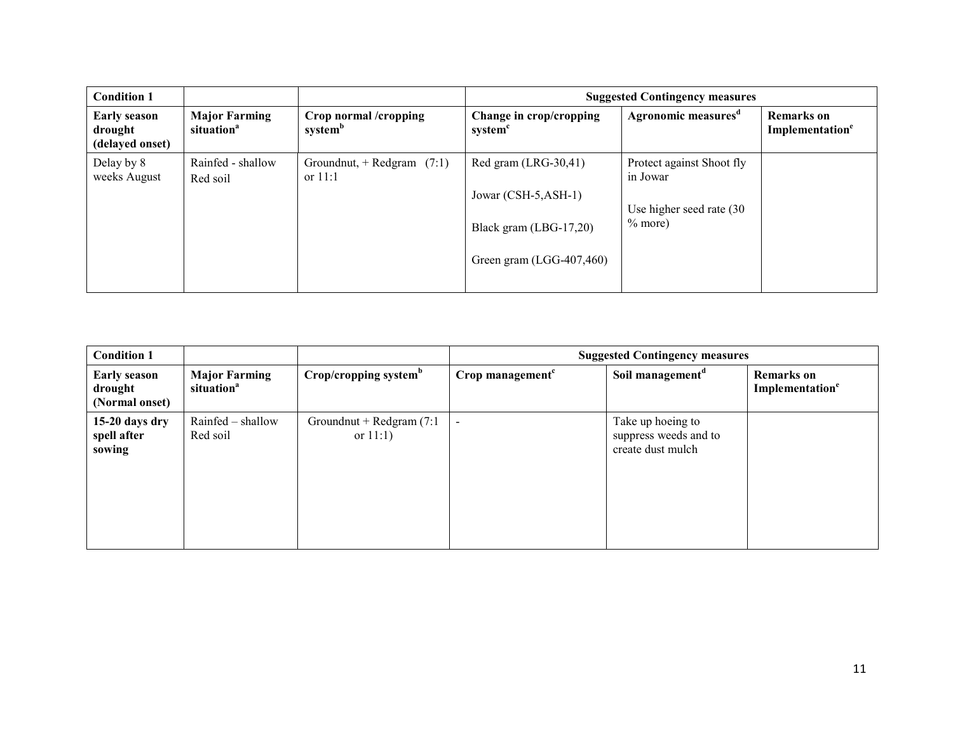| <b>Condition 1</b>                                |                                                |                                              |                                                                                                        | <b>Suggested Contingency measures</b>                                           |                                                  |
|---------------------------------------------------|------------------------------------------------|----------------------------------------------|--------------------------------------------------------------------------------------------------------|---------------------------------------------------------------------------------|--------------------------------------------------|
| <b>Early season</b><br>drought<br>(delayed onset) | <b>Major Farming</b><br>situation <sup>a</sup> | Crop normal /cropping<br>system <sup>b</sup> | Change in crop/cropping<br>system <sup>c</sup>                                                         | Agronomic measures <sup>d</sup>                                                 | <b>Remarks</b> on<br>Implementation <sup>e</sup> |
| Delay by 8<br>weeks August                        | Rainfed - shallow<br>Red soil                  | Groundnut, + Redgram $(7:1)$<br>or $11:1$    | Red gram (LRG-30,41)<br>Jowar $(CSH-5, ASH-1)$<br>Black gram (LBG-17,20)<br>Green gram $(LGG-407,460)$ | Protect against Shoot fly<br>in Jowar<br>Use higher seed rate (30)<br>$%$ more) |                                                  |

| <b>Condition 1</b>                               |                                                |                                            | <b>Suggested Contingency measures</b> |                                                                 |                                                  |  |
|--------------------------------------------------|------------------------------------------------|--------------------------------------------|---------------------------------------|-----------------------------------------------------------------|--------------------------------------------------|--|
| <b>Early season</b><br>drought<br>(Normal onset) | <b>Major Farming</b><br>situation <sup>a</sup> | Crop/cropping system <sup>b</sup>          | Crop management <sup>c</sup>          | Soil management <sup>d</sup>                                    | <b>Remarks</b> on<br>Implementation <sup>e</sup> |  |
| $15-20$ days dry<br>spell after<br>sowing        | Rainfed - shallow<br>Red soil                  | Groundnut + Redgram $(7:1)$<br>or $11:1$ ) | $\overline{\phantom{a}}$              | Take up hoeing to<br>suppress weeds and to<br>create dust mulch |                                                  |  |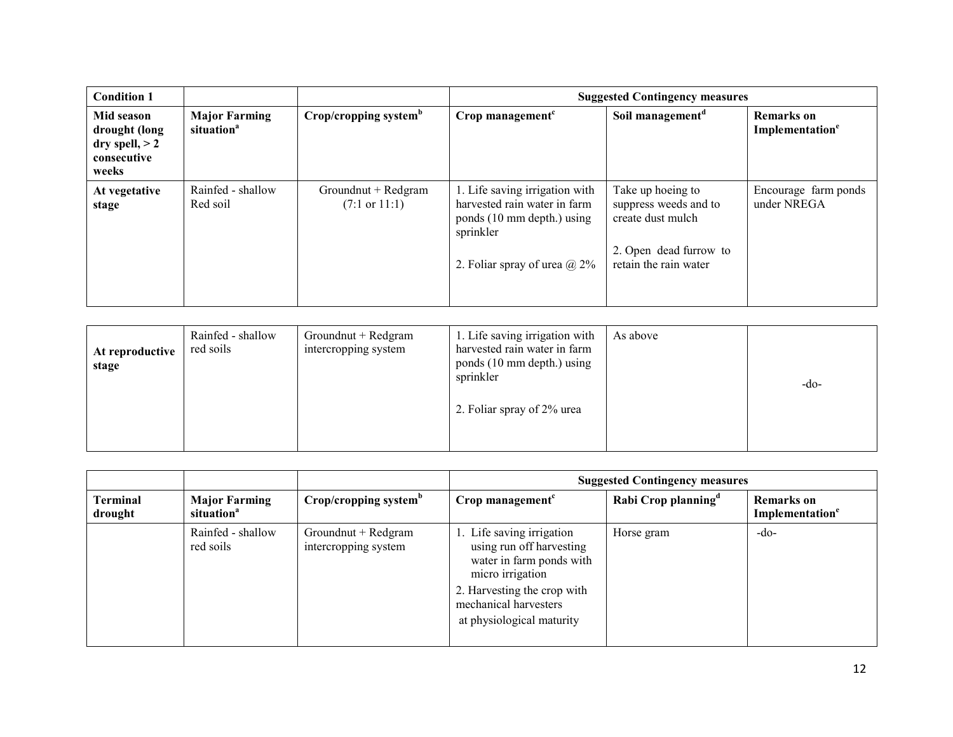| <b>Condition 1</b>                                                      |                                                |                                                 |                                                                                                                                                  | <b>Suggested Contingency measures</b>                                                                              |                                                  |  |  |
|-------------------------------------------------------------------------|------------------------------------------------|-------------------------------------------------|--------------------------------------------------------------------------------------------------------------------------------------------------|--------------------------------------------------------------------------------------------------------------------|--------------------------------------------------|--|--|
| Mid season<br>drought (long<br>dry spell, $> 2$<br>consecutive<br>weeks | <b>Major Farming</b><br>situation <sup>a</sup> | Crop/cropping system <sup>b</sup>               | $Crop$ management <sup><math>c</math></sup>                                                                                                      | Soil management <sup>d</sup>                                                                                       | <b>Remarks</b> on<br>Implementation <sup>e</sup> |  |  |
| At vegetative<br>stage                                                  | Rainfed - shallow<br>Red soil                  | Groundnut + Redgram<br>$(7:1 \text{ or } 11:1)$ | 1. Life saving irrigation with<br>harvested rain water in farm<br>ponds (10 mm depth.) using<br>sprinkler<br>2. Foliar spray of urea $\omega$ 2% | Take up hoeing to<br>suppress weeds and to<br>create dust mulch<br>2. Open dead furrow to<br>retain the rain water | Encourage farm ponds<br>under NREGA              |  |  |

| At reproductive<br>stage | Rainfed - shallow<br>red soils | Groundnut + Redgram<br>intercropping system | 1. Life saving irrigation with<br>harvested rain water in farm<br>ponds (10 mm depth.) using<br>sprinkler<br>2. Foliar spray of 2% urea | As above | $-do-$ |
|--------------------------|--------------------------------|---------------------------------------------|-----------------------------------------------------------------------------------------------------------------------------------------|----------|--------|
|--------------------------|--------------------------------|---------------------------------------------|-----------------------------------------------------------------------------------------------------------------------------------------|----------|--------|

|                            |                                                |                                             | <b>Suggested Contingency measures</b>                                                                                                                                                      |                                 |                                                  |  |
|----------------------------|------------------------------------------------|---------------------------------------------|--------------------------------------------------------------------------------------------------------------------------------------------------------------------------------------------|---------------------------------|--------------------------------------------------|--|
| <b>Terminal</b><br>drought | <b>Major Farming</b><br>situation <sup>a</sup> | Crop/cropping system <sup>b</sup>           | Crop management <sup>c</sup>                                                                                                                                                               | Rabi Crop planning <sup>d</sup> | <b>Remarks</b> on<br>Implementation <sup>e</sup> |  |
|                            | Rainfed - shallow<br>red soils                 | Groundnut + Redgram<br>intercropping system | 1. Life saving irrigation<br>using run off harvesting<br>water in farm ponds with<br>micro irrigation<br>2. Harvesting the crop with<br>mechanical harvesters<br>at physiological maturity | Horse gram                      | $-do-$                                           |  |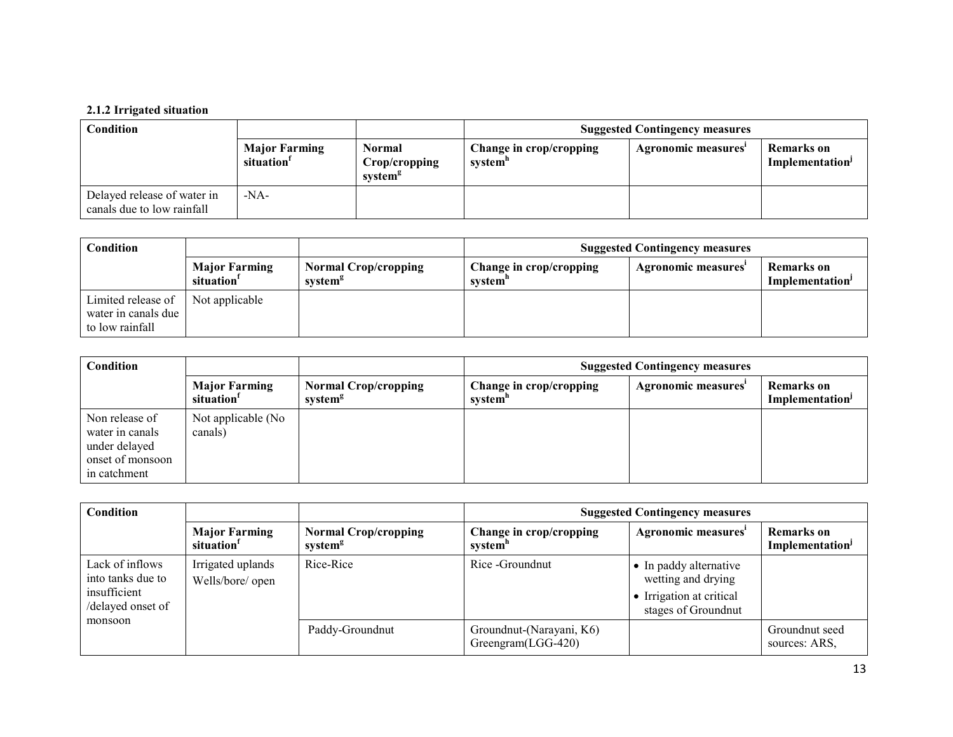### 2.1.2 Irrigated situation

| <b>Condition</b>                                          |                                   |                                                | <b>Suggested Contingency measures</b>          |                     |                              |
|-----------------------------------------------------------|-----------------------------------|------------------------------------------------|------------------------------------------------|---------------------|------------------------------|
|                                                           | <b>Major Farming</b><br>situation | Normal<br>Crop/cropping<br>system <sup>g</sup> | Change in crop/cropping<br>system <sup>'</sup> | Agronomic measures' | Remarks on<br>Implementation |
| Delayed release of water in<br>canals due to low rainfall | $-NA-$                            |                                                |                                                |                     |                              |

| Condition                                                    |                                    |                                                    | <b>Suggested Contingency measures</b> |                    |                              |
|--------------------------------------------------------------|------------------------------------|----------------------------------------------------|---------------------------------------|--------------------|------------------------------|
|                                                              | <b>Major Farming</b><br>situation' | <b>Normal Crop/cropping</b><br>system <sup>g</sup> | Change in crop/cropping<br>system"    | Agronomic measures | Remarks on<br>Implementation |
| Limited release of<br>water in canals due<br>to low rainfall | Not applicable                     |                                                    |                                       |                    |                              |

| <b>Condition</b>                                                                       |                                                |                                                    | <b>Suggested Contingency measures</b> |                     |                                           |
|----------------------------------------------------------------------------------------|------------------------------------------------|----------------------------------------------------|---------------------------------------|---------------------|-------------------------------------------|
|                                                                                        | <b>Major Farming</b><br>situation <sup>1</sup> | <b>Normal Crop/cropping</b><br>system <sup>g</sup> | Change in crop/cropping<br>system"    | Agronomic measures' | Remarks on<br>Implementation <sup>J</sup> |
| Non release of<br>water in canals<br>under delayed<br>onset of monsoon<br>in catchment | Not applicable (No<br>canals)                  |                                                    |                                       |                     |                                           |

| Condition                                                                 |                                                |                                                    | <b>Suggested Contingency measures</b>            |                                                                                                 |                                     |  |
|---------------------------------------------------------------------------|------------------------------------------------|----------------------------------------------------|--------------------------------------------------|-------------------------------------------------------------------------------------------------|-------------------------------------|--|
|                                                                           | <b>Major Farming</b><br>situation <sup>1</sup> | <b>Normal Crop/cropping</b><br>system <sup>g</sup> | Change in crop/cropping<br>system <sup>n</sup>   | Agronomic measures'                                                                             | <b>Remarks</b> on<br>Implementation |  |
| Lack of inflows<br>into tanks due to<br>insufficient<br>/delayed onset of | Irrigated uplands<br>Wells/bore/ open          | Rice-Rice                                          | Rice - Ground nut                                | • In paddy alternative<br>wetting and drying<br>• Irrigation at critical<br>stages of Groundnut |                                     |  |
| monsoon                                                                   |                                                | Paddy-Groundnut                                    | Groundnut-(Narayani, K6)<br>$Greengram(LGG-420)$ |                                                                                                 | Groundnut seed<br>sources: ARS.     |  |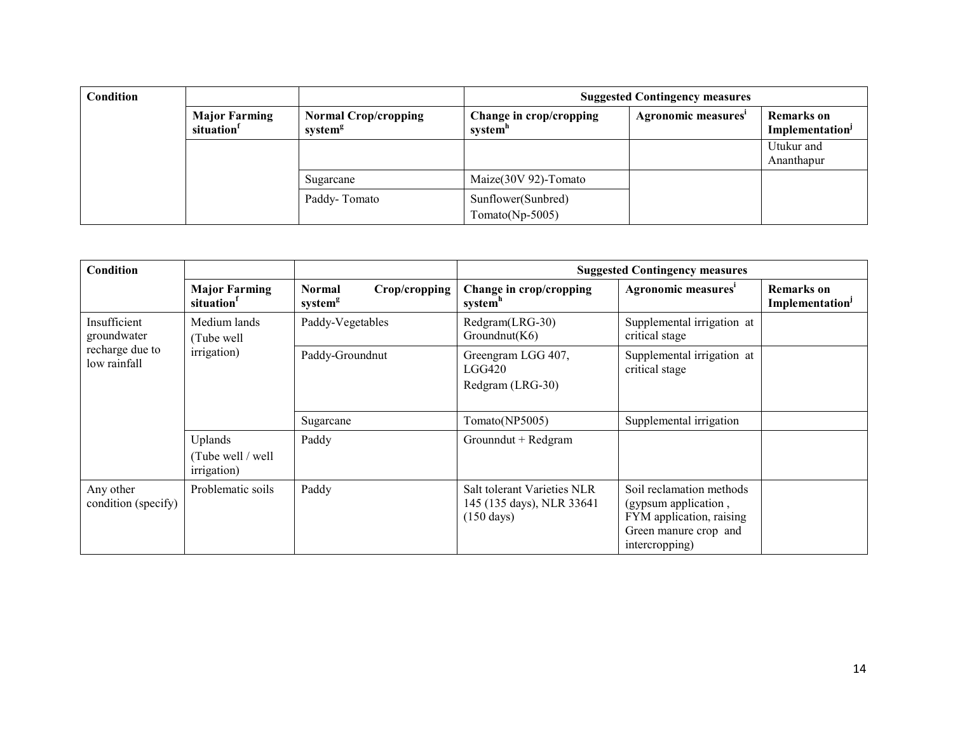| Condition |                                    |                                                    | <b>Suggested Contingency measures</b>          |                     |                                                  |  |
|-----------|------------------------------------|----------------------------------------------------|------------------------------------------------|---------------------|--------------------------------------------------|--|
|           | <b>Major Farming</b><br>situation' | <b>Normal Crop/cropping</b><br>system <sup>g</sup> | Change in crop/cropping<br>system <sup>"</sup> | Agronomic measures' | <b>Remarks</b> on<br>Implementation <sup>J</sup> |  |
|           |                                    |                                                    |                                                |                     | Utukur and<br>Ananthapur                         |  |
|           |                                    | Sugarcane                                          | Maize(30V 92)-Tomato                           |                     |                                                  |  |
|           |                                    | Paddy-Tomato                                       | Sunflower(Sunbred)<br>Tomato(Np-5005)          |                     |                                                  |  |

| <b>Condition</b>                 |                                            |                                                       |                                                                                  | <b>Suggested Contingency measures</b>                                                                                   |                                                  |
|----------------------------------|--------------------------------------------|-------------------------------------------------------|----------------------------------------------------------------------------------|-------------------------------------------------------------------------------------------------------------------------|--------------------------------------------------|
|                                  | <b>Major Farming</b><br>situation          | Crop/cropping<br><b>Normal</b><br>system <sup>g</sup> | Change in crop/cropping<br>system <sup>n</sup>                                   | Agronomic measures <sup>i</sup>                                                                                         | <b>Remarks</b> on<br>Implementation <sup>J</sup> |
| Insufficient<br>groundwater      | Medium lands<br>Tube well                  | Paddy-Vegetables                                      | Redgram(LRG-30)<br>Groundnut(K6)                                                 | Supplemental irrigation at<br>critical stage                                                                            |                                                  |
| recharge due to<br>low rainfall  | irrigation)                                | Paddy-Groundnut                                       | Greengram LGG 407,<br><b>LGG420</b><br>Redgram (LRG-30)                          | Supplemental irrigation at<br>critical stage                                                                            |                                                  |
|                                  |                                            | Sugarcane                                             | Tomato(NP5005)                                                                   | Supplemental irrigation                                                                                                 |                                                  |
|                                  | Uplands<br>Tube well / well<br>irrigation) | Paddy                                                 | Grounndut + Redgram                                                              |                                                                                                                         |                                                  |
| Any other<br>condition (specify) | Problematic soils                          | Paddy                                                 | Salt tolerant Varieties NLR<br>145 (135 days), NLR 33641<br>$(150 \text{ days})$ | Soil reclamation methods<br>(gypsum application,<br>FYM application, raising<br>Green manure crop and<br>intercropping) |                                                  |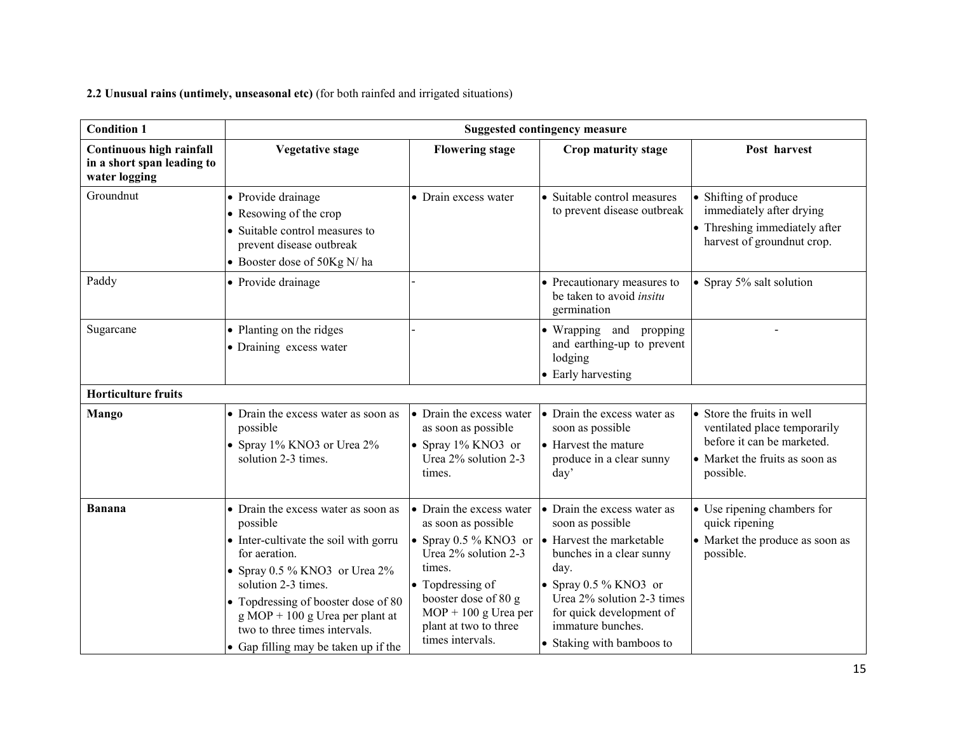2.2 Unusual rains (untimely, unseasonal etc) (for both rainfed and irrigated situations)

| <b>Condition 1</b>                                                      |                                                                                                                                                                                                                                                                                                                                             |                                                                                                                                                                                                      | <b>Suggested contingency measure</b>                                                                                                                                                                                                                                               |                                                                                                                                         |
|-------------------------------------------------------------------------|---------------------------------------------------------------------------------------------------------------------------------------------------------------------------------------------------------------------------------------------------------------------------------------------------------------------------------------------|------------------------------------------------------------------------------------------------------------------------------------------------------------------------------------------------------|------------------------------------------------------------------------------------------------------------------------------------------------------------------------------------------------------------------------------------------------------------------------------------|-----------------------------------------------------------------------------------------------------------------------------------------|
| Continuous high rainfall<br>in a short span leading to<br>water logging | <b>Vegetative stage</b>                                                                                                                                                                                                                                                                                                                     | <b>Flowering stage</b>                                                                                                                                                                               | Crop maturity stage                                                                                                                                                                                                                                                                | Post harvest                                                                                                                            |
| Groundnut                                                               | • Provide drainage<br>• Resowing of the crop<br>• Suitable control measures to<br>prevent disease outbreak<br>• Booster dose of 50Kg N/ha                                                                                                                                                                                                   | • Drain excess water                                                                                                                                                                                 | • Suitable control measures<br>to prevent disease outbreak                                                                                                                                                                                                                         | • Shifting of produce<br>immediately after drying<br>• Threshing immediately after<br>harvest of groundnut crop.                        |
| Paddy                                                                   | • Provide drainage                                                                                                                                                                                                                                                                                                                          |                                                                                                                                                                                                      | • Precautionary measures to<br>be taken to avoid <i>insitu</i><br>germination                                                                                                                                                                                                      | • Spray 5% salt solution                                                                                                                |
| Sugarcane                                                               | • Planting on the ridges<br>• Draining excess water                                                                                                                                                                                                                                                                                         |                                                                                                                                                                                                      | • Wrapping and propping<br>and earthing-up to prevent<br>lodging<br>• Early harvesting                                                                                                                                                                                             |                                                                                                                                         |
| <b>Horticulture fruits</b>                                              |                                                                                                                                                                                                                                                                                                                                             |                                                                                                                                                                                                      |                                                                                                                                                                                                                                                                                    |                                                                                                                                         |
| Mango                                                                   | • Drain the excess water as soon as<br>possible<br>• Spray 1% KNO3 or Urea 2%<br>solution 2-3 times.                                                                                                                                                                                                                                        | • Drain the excess water<br>as soon as possible<br>• Spray 1% KNO3 or<br>Urea 2% solution 2-3<br>times.                                                                                              | • Drain the excess water as<br>soon as possible<br>• Harvest the mature<br>produce in a clear sunny<br>day'                                                                                                                                                                        | • Store the fruits in well<br>ventilated place temporarily<br>before it can be marketed.<br>• Market the fruits as soon as<br>possible. |
| Banana                                                                  | • Drain the excess water as soon as<br>possible<br>• Inter-cultivate the soil with gorru<br>for aeration.<br>• Spray $0.5\%$ KNO3 or Urea $2\%$<br>solution 2-3 times.<br>• Topdressing of booster dose of 80<br>$g \text{ MOP} + 100 g \text{ Urea per plant at}$<br>two to three times intervals.<br>• Gap filling may be taken up if the | • Drain the excess water<br>as soon as possible<br>Urea 2% solution 2-3<br>times.<br>• Topdressing of<br>booster dose of 80 g<br>$MOP + 100$ g Urea per<br>plant at two to three<br>times intervals. | • Drain the excess water as<br>soon as possible<br>• Spray 0.5 % KNO3 or $\bullet$ Harvest the marketable<br>bunches in a clear sunny<br>day.<br>• Spray 0.5 % KNO3 or<br>Urea 2% solution 2-3 times<br>for quick development of<br>immature bunches.<br>• Staking with bamboos to | • Use ripening chambers for<br>quick ripening<br>• Market the produce as soon as<br>possible.                                           |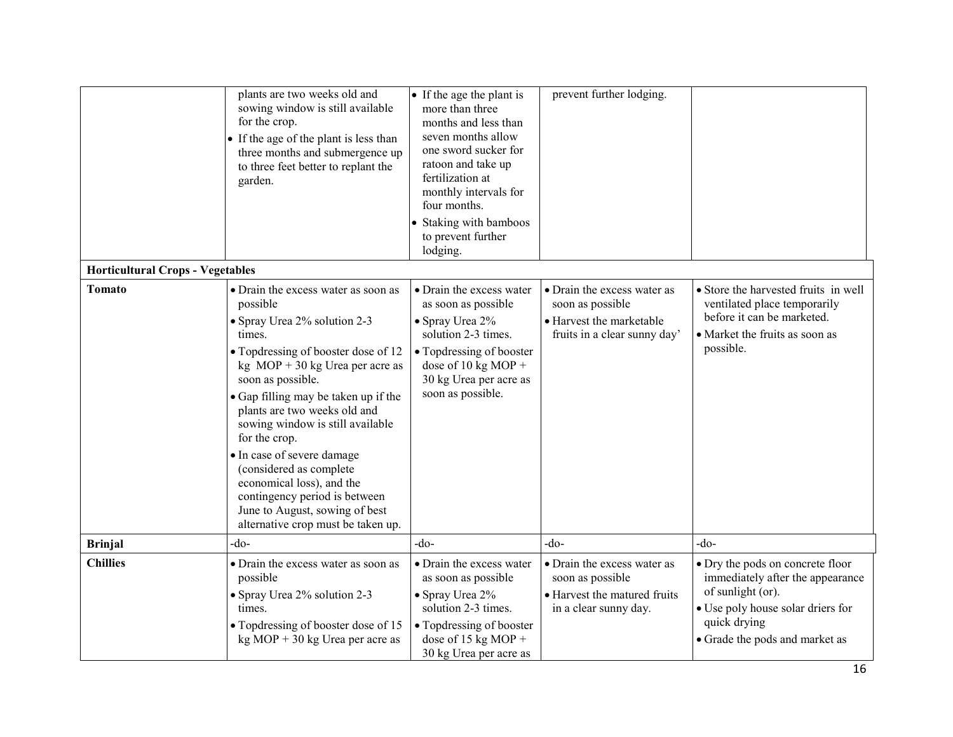|                                         | plants are two weeks old and<br>sowing window is still available<br>for the crop.<br>• If the age of the plant is less than<br>three months and submergence up<br>to three feet better to replant the<br>garden.                                                                                                                                                                                                                                                                                                       | • If the age the plant is<br>more than three<br>months and less than<br>seven months allow<br>one sword sucker for<br>ratoon and take up<br>fertilization at<br>monthly intervals for<br>four months.<br>• Staking with bamboos<br>to prevent further<br>lodging. | prevent further lodging.                                                                                    |                                                                                                                                                                                  |
|-----------------------------------------|------------------------------------------------------------------------------------------------------------------------------------------------------------------------------------------------------------------------------------------------------------------------------------------------------------------------------------------------------------------------------------------------------------------------------------------------------------------------------------------------------------------------|-------------------------------------------------------------------------------------------------------------------------------------------------------------------------------------------------------------------------------------------------------------------|-------------------------------------------------------------------------------------------------------------|----------------------------------------------------------------------------------------------------------------------------------------------------------------------------------|
| <b>Horticultural Crops - Vegetables</b> |                                                                                                                                                                                                                                                                                                                                                                                                                                                                                                                        |                                                                                                                                                                                                                                                                   |                                                                                                             |                                                                                                                                                                                  |
| <b>Tomato</b>                           | • Drain the excess water as soon as<br>possible<br>• Spray Urea 2% solution 2-3<br>times.<br>• Topdressing of booster dose of 12<br>kg $MOP + 30$ kg Urea per acre as<br>soon as possible.<br>• Gap filling may be taken up if the<br>plants are two weeks old and<br>sowing window is still available<br>for the crop.<br>• In case of severe damage<br>(considered as complete<br>economical loss), and the<br>contingency period is between<br>June to August, sowing of best<br>alternative crop must be taken up. | • Drain the excess water<br>as soon as possible<br>$\bullet$ Spray Urea 2%<br>solution 2-3 times.<br>• Topdressing of booster<br>dose of 10 kg MOP +<br>30 kg Urea per acre as<br>soon as possible.                                                               | • Drain the excess water as<br>soon as possible<br>• Harvest the marketable<br>fruits in a clear sunny day' | • Store the harvested fruits in well<br>ventilated place temporarily<br>before it can be marketed.<br>• Market the fruits as soon as<br>possible.                                |
| <b>Brinjal</b>                          | -do-                                                                                                                                                                                                                                                                                                                                                                                                                                                                                                                   | $-do-$                                                                                                                                                                                                                                                            | $-do$                                                                                                       | -do-                                                                                                                                                                             |
| <b>Chillies</b>                         | • Drain the excess water as soon as<br>possible<br>• Spray Urea 2% solution 2-3<br>times.<br>• Topdressing of booster dose of 15<br>$kg MOP + 30 kg Urea per acre as$                                                                                                                                                                                                                                                                                                                                                  | • Drain the excess water<br>as soon as possible<br>• Spray Urea 2%<br>solution 2-3 times.<br>• Topdressing of booster<br>dose of 15 kg MOP +<br>30 kg Urea per acre as                                                                                            | • Drain the excess water as<br>soon as possible<br>• Harvest the matured fruits<br>in a clear sunny day.    | • Dry the pods on concrete floor<br>immediately after the appearance<br>of sunlight (or).<br>• Use poly house solar driers for<br>quick drying<br>• Grade the pods and market as |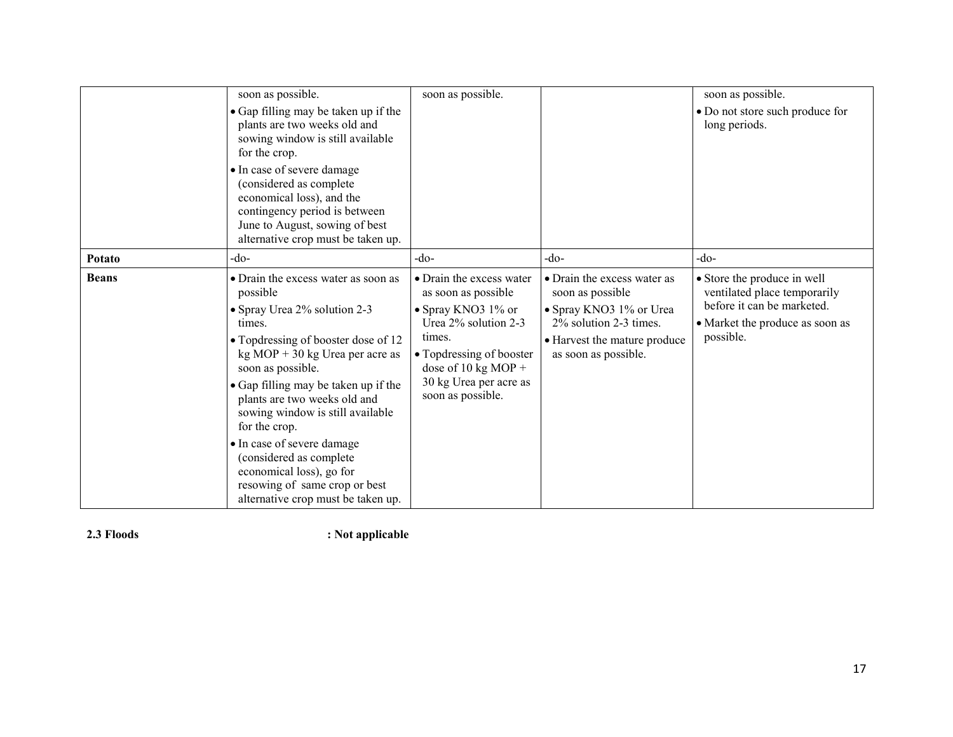|              | soon as possible.<br>• Gap filling may be taken up if the<br>plants are two weeks old and<br>sowing window is still available<br>for the crop.<br>• In case of severe damage<br>(considered as complete<br>economical loss), and the<br>contingency period is between<br>June to August, sowing of best<br>alternative crop must be taken up.                                                                                                                                                       | soon as possible.                                                                                                                                                                                         |                                                                                                                                                              | soon as possible.<br>• Do not store such produce for<br>long periods.                                                                     |
|--------------|-----------------------------------------------------------------------------------------------------------------------------------------------------------------------------------------------------------------------------------------------------------------------------------------------------------------------------------------------------------------------------------------------------------------------------------------------------------------------------------------------------|-----------------------------------------------------------------------------------------------------------------------------------------------------------------------------------------------------------|--------------------------------------------------------------------------------------------------------------------------------------------------------------|-------------------------------------------------------------------------------------------------------------------------------------------|
| Potato       | -do-                                                                                                                                                                                                                                                                                                                                                                                                                                                                                                | -do-                                                                                                                                                                                                      | -do-                                                                                                                                                         | $-do$                                                                                                                                     |
| <b>Beans</b> | • Drain the excess water as soon as<br>possible<br>• Spray Urea 2% solution 2-3<br>times.<br>• Topdressing of booster dose of 12<br>$kg \text{ MOP} + 30 \text{ kg}$ Urea per acre as<br>soon as possible.<br>• Gap filling may be taken up if the<br>plants are two weeks old and<br>sowing window is still available<br>for the crop.<br>· In case of severe damage<br>(considered as complete<br>economical loss), go for<br>resowing of same crop or best<br>alternative crop must be taken up. | • Drain the excess water<br>as soon as possible<br>• Spray KNO3 1% or<br>Urea 2% solution 2-3<br>times.<br>• Topdressing of booster<br>dose of 10 kg MOP +<br>30 kg Urea per acre as<br>soon as possible. | • Drain the excess water as<br>soon as possible<br>• Spray KNO3 1% or Urea<br>2% solution 2-3 times.<br>• Harvest the mature produce<br>as soon as possible. | • Store the produce in well<br>ventilated place temporarily<br>before it can be marketed.<br>• Market the produce as soon as<br>possible. |

2.3 Floods : Not applicable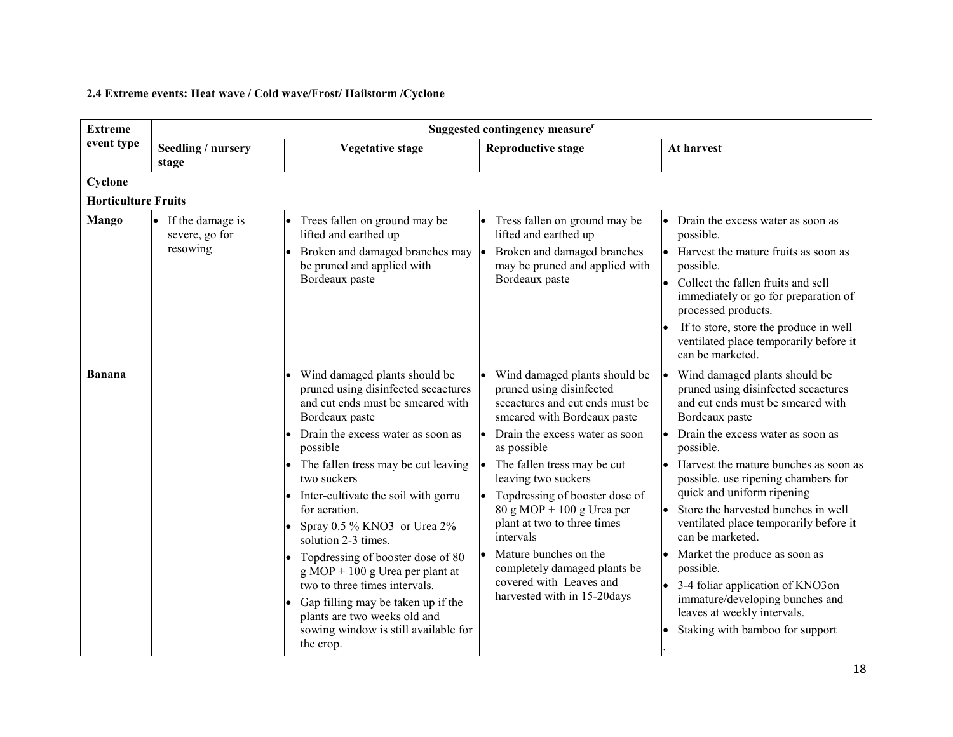# 2.4 Extreme events: Heat wave / Cold wave/Frost/ Hailstorm /Cyclone

| <b>Extreme</b>             | Suggested contingency measure <sup>r</sup>     |                                                                                                                                                                                                                                                                                                                                                                                                                                                                                                                                                                                                        |                                                                                                                                                                                                                                                                                                                                                                                                                                                                         |                                                                                                                                                                                                                                                                                                                                                                                                                                                                                                                                                                                           |  |
|----------------------------|------------------------------------------------|--------------------------------------------------------------------------------------------------------------------------------------------------------------------------------------------------------------------------------------------------------------------------------------------------------------------------------------------------------------------------------------------------------------------------------------------------------------------------------------------------------------------------------------------------------------------------------------------------------|-------------------------------------------------------------------------------------------------------------------------------------------------------------------------------------------------------------------------------------------------------------------------------------------------------------------------------------------------------------------------------------------------------------------------------------------------------------------------|-------------------------------------------------------------------------------------------------------------------------------------------------------------------------------------------------------------------------------------------------------------------------------------------------------------------------------------------------------------------------------------------------------------------------------------------------------------------------------------------------------------------------------------------------------------------------------------------|--|
| event type                 | Seedling / nursery<br>stage                    | <b>Vegetative stage</b>                                                                                                                                                                                                                                                                                                                                                                                                                                                                                                                                                                                | <b>Reproductive stage</b>                                                                                                                                                                                                                                                                                                                                                                                                                                               | At harvest                                                                                                                                                                                                                                                                                                                                                                                                                                                                                                                                                                                |  |
| Cyclone                    |                                                |                                                                                                                                                                                                                                                                                                                                                                                                                                                                                                                                                                                                        |                                                                                                                                                                                                                                                                                                                                                                                                                                                                         |                                                                                                                                                                                                                                                                                                                                                                                                                                                                                                                                                                                           |  |
| <b>Horticulture Fruits</b> |                                                |                                                                                                                                                                                                                                                                                                                                                                                                                                                                                                                                                                                                        |                                                                                                                                                                                                                                                                                                                                                                                                                                                                         |                                                                                                                                                                                                                                                                                                                                                                                                                                                                                                                                                                                           |  |
| Mango                      | If the damage is<br>severe, go for<br>resowing | Trees fallen on ground may be<br>lifted and earthed up<br>Broken and damaged branches may  .<br>be pruned and applied with<br>Bordeaux paste                                                                                                                                                                                                                                                                                                                                                                                                                                                           | Tress fallen on ground may be<br>lifted and earthed up<br>Broken and damaged branches<br>may be pruned and applied with<br>Bordeaux paste                                                                                                                                                                                                                                                                                                                               | • Drain the excess water as soon as<br>possible.<br>• Harvest the mature fruits as soon as<br>possible.<br>Collect the fallen fruits and sell<br>immediately or go for preparation of<br>processed products.<br>If to store, store the produce in well<br>ventilated place temporarily before it<br>can be marketed.                                                                                                                                                                                                                                                                      |  |
| Banana                     |                                                | Wind damaged plants should be<br>pruned using disinfected secaetures<br>and cut ends must be smeared with<br>Bordeaux paste<br>Drain the excess water as soon as<br>possible<br>The fallen tress may be cut leaving<br>two suckers<br>Inter-cultivate the soil with gorru<br>for aeration.<br>Spray 0.5 % KNO3 or Urea 2%<br>solution 2-3 times.<br>Topdressing of booster dose of 80<br>$g \text{ MOP} + 100 g \text{ Urea per plant at}$<br>two to three times intervals.<br>Gap filling may be taken up if the<br>plants are two weeks old and<br>sowing window is still available for<br>the crop. | • Wind damaged plants should be<br>pruned using disinfected<br>secaetures and cut ends must be<br>smeared with Bordeaux paste<br>Drain the excess water as soon<br>as possible<br>The fallen tress may be cut<br>leaving two suckers<br>Topdressing of booster dose of<br>$80 g MOP + 100 g U$ rea per<br>plant at two to three times<br>intervals<br>• Mature bunches on the<br>completely damaged plants be<br>covered with Leaves and<br>harvested with in 15-20days | Wind damaged plants should be<br>pruned using disinfected secaetures<br>and cut ends must be smeared with<br>Bordeaux paste<br>Drain the excess water as soon as<br>possible.<br>Harvest the mature bunches as soon as<br>possible. use ripening chambers for<br>quick and uniform ripening<br>Store the harvested bunches in well<br>ventilated place temporarily before it<br>can be marketed.<br>Market the produce as soon as<br>possible.<br>• 3-4 foliar application of KNO3on<br>immature/developing bunches and<br>leaves at weekly intervals.<br>Staking with bamboo for support |  |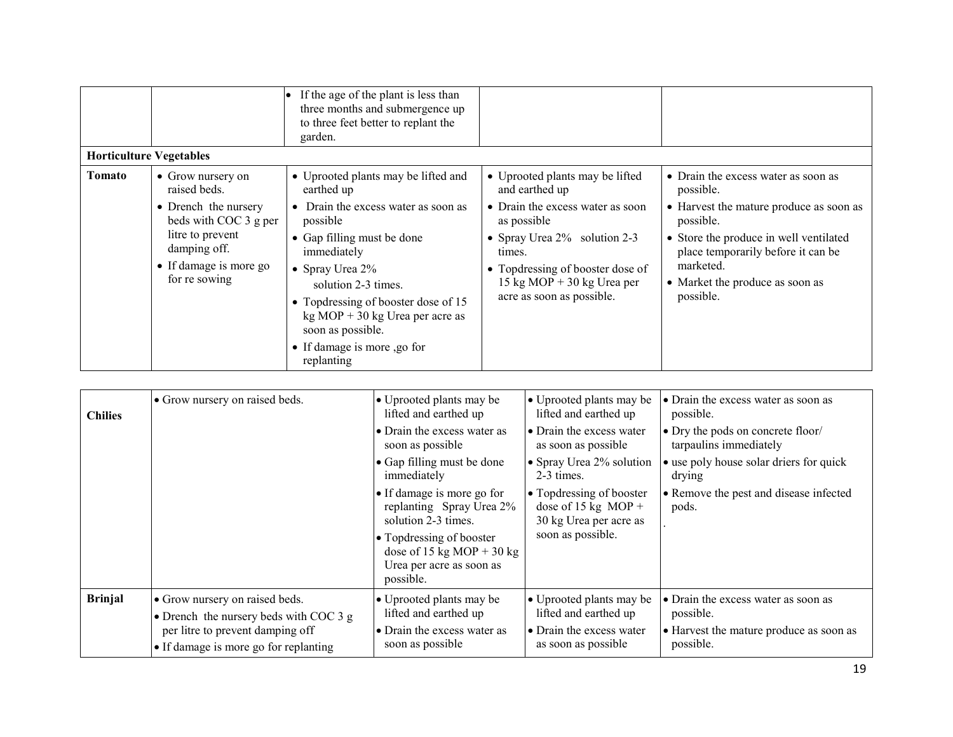|                                |                                                                                                                              | If the age of the plant is less than<br>three months and submergence up<br>to three feet better to replant the<br>garden.                                                                                                                                                               |                                                                                                                                                                                             |                                                                                                                                                                                                   |
|--------------------------------|------------------------------------------------------------------------------------------------------------------------------|-----------------------------------------------------------------------------------------------------------------------------------------------------------------------------------------------------------------------------------------------------------------------------------------|---------------------------------------------------------------------------------------------------------------------------------------------------------------------------------------------|---------------------------------------------------------------------------------------------------------------------------------------------------------------------------------------------------|
| <b>Horticulture Vegetables</b> |                                                                                                                              |                                                                                                                                                                                                                                                                                         |                                                                                                                                                                                             |                                                                                                                                                                                                   |
| Tomato                         | • Grow nursery on<br>raised beds.                                                                                            | • Uprooted plants may be lifted and<br>earthed up                                                                                                                                                                                                                                       | • Uprooted plants may be lifted<br>and earthed up                                                                                                                                           | • Drain the excess water as soon as<br>possible.                                                                                                                                                  |
|                                | • Drench the nursery<br>beds with COC 3 g per<br>litre to prevent<br>damping off.<br>• If damage is more go<br>for re sowing | • Drain the excess water as soon as<br>possible<br>• Gap filling must be done<br>immediately<br>• Spray Urea $2\%$<br>solution 2-3 times.<br>• Topdressing of booster dose of 15<br>$kg MOP + 30 kg Urea per acre as$<br>soon as possible.<br>• If damage is more ,go for<br>replanting | • Drain the excess water as soon<br>as possible<br>• Spray Urea $2\%$ solution 2-3<br>times.<br>• Topdressing of booster dose of<br>15 kg MOP + 30 kg Urea per<br>acre as soon as possible. | • Harvest the mature produce as soon as<br>possible.<br>• Store the produce in well ventilated<br>place temporarily before it can be<br>marketed.<br>• Market the produce as soon as<br>possible. |

| <b>Chilies</b> | • Grow nursery on raised beds.         | • Uprooted plants may be<br>lifted and earthed up<br>• Drain the excess water as<br>soon as possible<br>• Gap filling must be done<br>immediately<br>• If damage is more go for<br>replanting Spray Urea 2%<br>solution 2-3 times.<br>• Topdressing of booster<br>dose of 15 kg MOP + 30 kg<br>Urea per acre as soon as<br>possible. | • Uprooted plants may be<br>lifted and earthed up<br>• Drain the excess water<br>as soon as possible<br>• Spray Urea 2% solution<br>2-3 times.<br>• Topdressing of booster<br>dose of 15 kg MOP +<br>30 kg Urea per acre as<br>soon as possible. | • Drain the excess water as soon as<br>possible.<br>• Dry the pods on concrete floor/<br>tarpaulins immediately<br>• use poly house solar driers for quick<br>drying<br>• Remove the pest and disease infected<br>pods. |
|----------------|----------------------------------------|--------------------------------------------------------------------------------------------------------------------------------------------------------------------------------------------------------------------------------------------------------------------------------------------------------------------------------------|--------------------------------------------------------------------------------------------------------------------------------------------------------------------------------------------------------------------------------------------------|-------------------------------------------------------------------------------------------------------------------------------------------------------------------------------------------------------------------------|
| <b>Brinjal</b> | • Grow nursery on raised beds.         | • Uprooted plants may be                                                                                                                                                                                                                                                                                                             | • Uprooted plants may be                                                                                                                                                                                                                         | • Drain the excess water as soon as                                                                                                                                                                                     |
|                | • Drench the nursery beds with COC 3 g | lifted and earthed up                                                                                                                                                                                                                                                                                                                | lifted and earthed up                                                                                                                                                                                                                            | possible.                                                                                                                                                                                                               |
|                | per litre to prevent damping off       | • Drain the excess water as                                                                                                                                                                                                                                                                                                          | • Drain the excess water                                                                                                                                                                                                                         | • Harvest the mature produce as soon as                                                                                                                                                                                 |
|                | • If damage is more go for replanting  | soon as possible                                                                                                                                                                                                                                                                                                                     | as soon as possible                                                                                                                                                                                                                              | possible.                                                                                                                                                                                                               |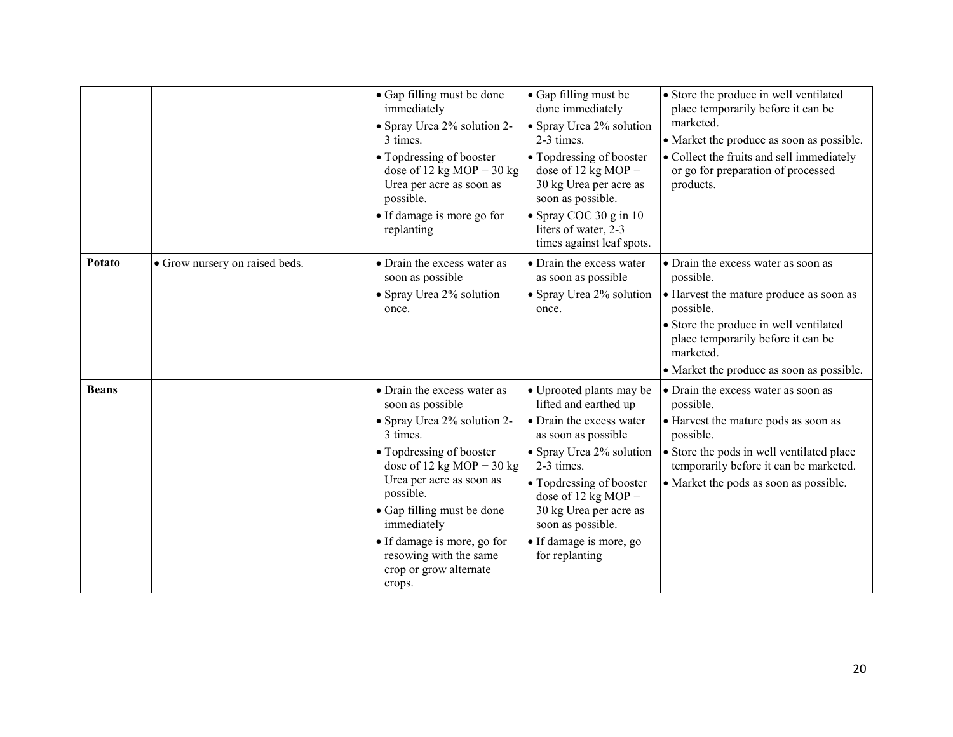|              |                                | • Gap filling must be done<br>immediately<br>• Spray Urea 2% solution 2-<br>3 times.<br>• Topdressing of booster<br>dose of 12 kg MOP + 30 kg<br>Urea per acre as soon as<br>possible.<br>• If damage is more go for<br>replanting                                                                                                     | • Gap filling must be<br>done immediately<br>• Spray Urea 2% solution<br>2-3 times.<br>• Topdressing of booster<br>dose of 12 kg MOP +<br>30 kg Urea per acre as<br>soon as possible.<br>• Spray COC 30 g in 10<br>liters of water, 2-3<br>times against leaf spots.                          | • Store the produce in well ventilated<br>place temporarily before it can be<br>marketed.<br>• Market the produce as soon as possible.<br>• Collect the fruits and sell immediately<br>or go for preparation of processed<br>products.             |
|--------------|--------------------------------|----------------------------------------------------------------------------------------------------------------------------------------------------------------------------------------------------------------------------------------------------------------------------------------------------------------------------------------|-----------------------------------------------------------------------------------------------------------------------------------------------------------------------------------------------------------------------------------------------------------------------------------------------|----------------------------------------------------------------------------------------------------------------------------------------------------------------------------------------------------------------------------------------------------|
| Potato       | • Grow nursery on raised beds. | • Drain the excess water as<br>soon as possible<br>• Spray Urea 2% solution<br>once.                                                                                                                                                                                                                                                   | • Drain the excess water<br>as soon as possible<br>• Spray Urea 2% solution<br>once.                                                                                                                                                                                                          | • Drain the excess water as soon as<br>possible.<br>• Harvest the mature produce as soon as<br>possible.<br>• Store the produce in well ventilated<br>place temporarily before it can be<br>marketed.<br>• Market the produce as soon as possible. |
| <b>Beans</b> |                                | • Drain the excess water as<br>soon as possible<br>• Spray Urea 2% solution 2-<br>3 times.<br>• Topdressing of booster<br>dose of 12 kg MOP + 30 kg<br>Urea per acre as soon as<br>possible.<br>• Gap filling must be done<br>immediately<br>• If damage is more, go for<br>resowing with the same<br>crop or grow alternate<br>crops. | • Uprooted plants may be<br>lifted and earthed up<br>• Drain the excess water<br>as soon as possible<br>• Spray Urea 2% solution<br>2-3 times.<br>• Topdressing of booster<br>dose of 12 kg MOP +<br>30 kg Urea per acre as<br>soon as possible.<br>• If damage is more, go<br>for replanting | • Drain the excess water as soon as<br>possible.<br>• Harvest the mature pods as soon as<br>possible.<br>• Store the pods in well ventilated place<br>temporarily before it can be marketed.<br>• Market the pods as soon as possible.             |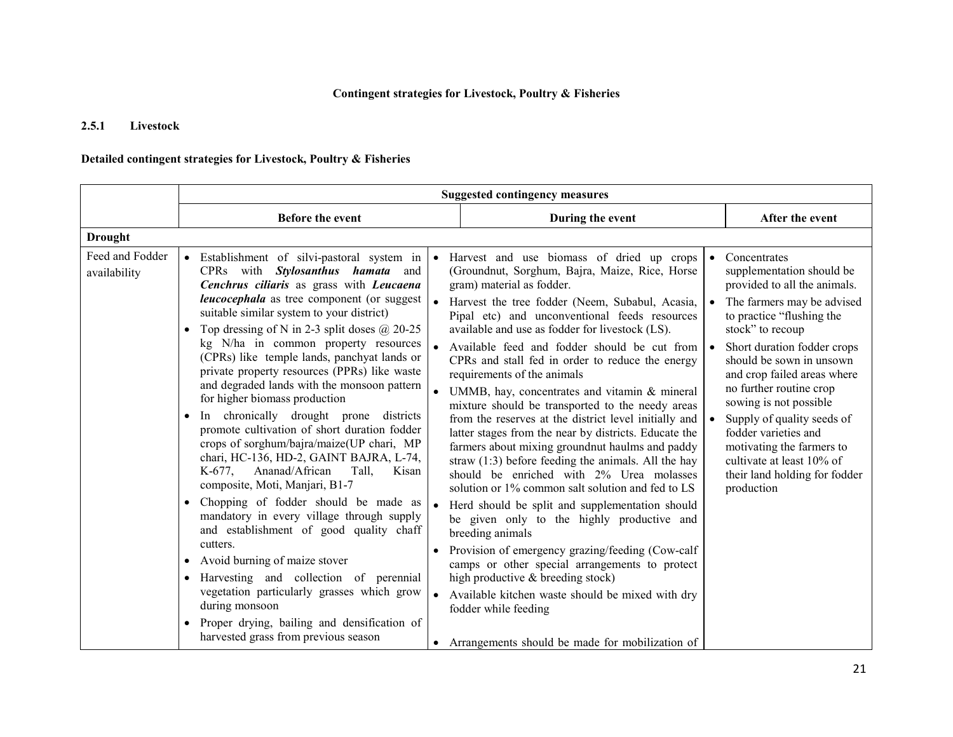### Contingent strategies for Livestock, Poultry & Fisheries

#### 2.5.1Livestock

### Detailed contingent strategies for Livestock, Poultry & Fisheries

|                                 | <b>Suggested contingency measures</b>                                                                                                                                                                                                                                                                                                                                                                                                                                                                                                                                                                                                                                                                                                                                           |           |                                                                                                                                                                                                                                                                                                                                                                                                                                                                                                                                                                                                                                                                                                                                                                                                                                                        |                                                                                                                                                                                                                                                                                                                                                                                                                                                                        |  |
|---------------------------------|---------------------------------------------------------------------------------------------------------------------------------------------------------------------------------------------------------------------------------------------------------------------------------------------------------------------------------------------------------------------------------------------------------------------------------------------------------------------------------------------------------------------------------------------------------------------------------------------------------------------------------------------------------------------------------------------------------------------------------------------------------------------------------|-----------|--------------------------------------------------------------------------------------------------------------------------------------------------------------------------------------------------------------------------------------------------------------------------------------------------------------------------------------------------------------------------------------------------------------------------------------------------------------------------------------------------------------------------------------------------------------------------------------------------------------------------------------------------------------------------------------------------------------------------------------------------------------------------------------------------------------------------------------------------------|------------------------------------------------------------------------------------------------------------------------------------------------------------------------------------------------------------------------------------------------------------------------------------------------------------------------------------------------------------------------------------------------------------------------------------------------------------------------|--|
|                                 | Before the event                                                                                                                                                                                                                                                                                                                                                                                                                                                                                                                                                                                                                                                                                                                                                                |           | During the event                                                                                                                                                                                                                                                                                                                                                                                                                                                                                                                                                                                                                                                                                                                                                                                                                                       | After the event                                                                                                                                                                                                                                                                                                                                                                                                                                                        |  |
| <b>Drought</b>                  |                                                                                                                                                                                                                                                                                                                                                                                                                                                                                                                                                                                                                                                                                                                                                                                 |           |                                                                                                                                                                                                                                                                                                                                                                                                                                                                                                                                                                                                                                                                                                                                                                                                                                                        |                                                                                                                                                                                                                                                                                                                                                                                                                                                                        |  |
| Feed and Fodder<br>availability | • Establishment of silvi-pastoral system in<br>CPRs with Stylosanthus hamata and<br>Cenchrus ciliaris as grass with Leucaena<br><i>leucocephala</i> as tree component (or suggest<br>suitable similar system to your district)<br>Top dressing of N in 2-3 split doses $@$ 20-25<br>kg N/ha in common property resources<br>(CPRs) like temple lands, panchyat lands or<br>private property resources (PPRs) like waste<br>and degraded lands with the monsoon pattern<br>for higher biomass production<br>In chronically drought prone<br>districts<br>promote cultivation of short duration fodder<br>crops of sorghum/bajra/maize(UP chari, MP<br>chari, HC-136, HD-2, GAINT BAJRA, L-74,<br>Ananad/African<br>$K-677$ .<br>Tall.<br>Kisan<br>composite, Moti, Manjari, B1-7 | $\bullet$ | Harvest and use biomass of dried up crops<br>(Groundnut, Sorghum, Bajra, Maize, Rice, Horse<br>gram) material as fodder.<br>Harvest the tree fodder (Neem, Subabul, Acasia,<br>Pipal etc) and unconventional feeds resources<br>available and use as fodder for livestock (LS).<br>Available feed and fodder should be cut from<br>CPRs and stall fed in order to reduce the energy<br>requirements of the animals<br>UMMB, hay, concentrates and vitamin & mineral<br>mixture should be transported to the needy areas<br>from the reserves at the district level initially and<br>latter stages from the near by districts. Educate the<br>farmers about mixing groundnut haulms and paddy<br>straw $(1:3)$ before feeding the animals. All the hay<br>should be enriched with 2% Urea molasses<br>solution or 1% common salt solution and fed to LS | Concentrates<br>supplementation should be<br>provided to all the animals.<br>The farmers may be advised<br>to practice "flushing the<br>stock" to recoup<br>Short duration fodder crops<br>should be sown in unsown<br>and crop failed areas where<br>no further routine crop<br>sowing is not possible<br>Supply of quality seeds of<br>fodder varieties and<br>motivating the farmers to<br>cultivate at least 10% of<br>their land holding for fodder<br>production |  |
|                                 | Chopping of fodder should be made as<br>mandatory in every village through supply<br>and establishment of good quality chaff                                                                                                                                                                                                                                                                                                                                                                                                                                                                                                                                                                                                                                                    |           | Herd should be split and supplementation should<br>be given only to the highly productive and<br>breeding animals                                                                                                                                                                                                                                                                                                                                                                                                                                                                                                                                                                                                                                                                                                                                      |                                                                                                                                                                                                                                                                                                                                                                                                                                                                        |  |
|                                 | cutters.<br>Avoid burning of maize stover<br>$\bullet$<br>Harvesting and collection of perennial<br>vegetation particularly grasses which grow<br>during monsoon<br>Proper drying, bailing and densification of<br>$\bullet$                                                                                                                                                                                                                                                                                                                                                                                                                                                                                                                                                    |           | Provision of emergency grazing/feeding (Cow-calf<br>camps or other special arrangements to protect<br>high productive & breeding stock)<br>Available kitchen waste should be mixed with dry<br>fodder while feeding                                                                                                                                                                                                                                                                                                                                                                                                                                                                                                                                                                                                                                    |                                                                                                                                                                                                                                                                                                                                                                                                                                                                        |  |
|                                 | harvested grass from previous season                                                                                                                                                                                                                                                                                                                                                                                                                                                                                                                                                                                                                                                                                                                                            |           | • Arrangements should be made for mobilization of                                                                                                                                                                                                                                                                                                                                                                                                                                                                                                                                                                                                                                                                                                                                                                                                      |                                                                                                                                                                                                                                                                                                                                                                                                                                                                        |  |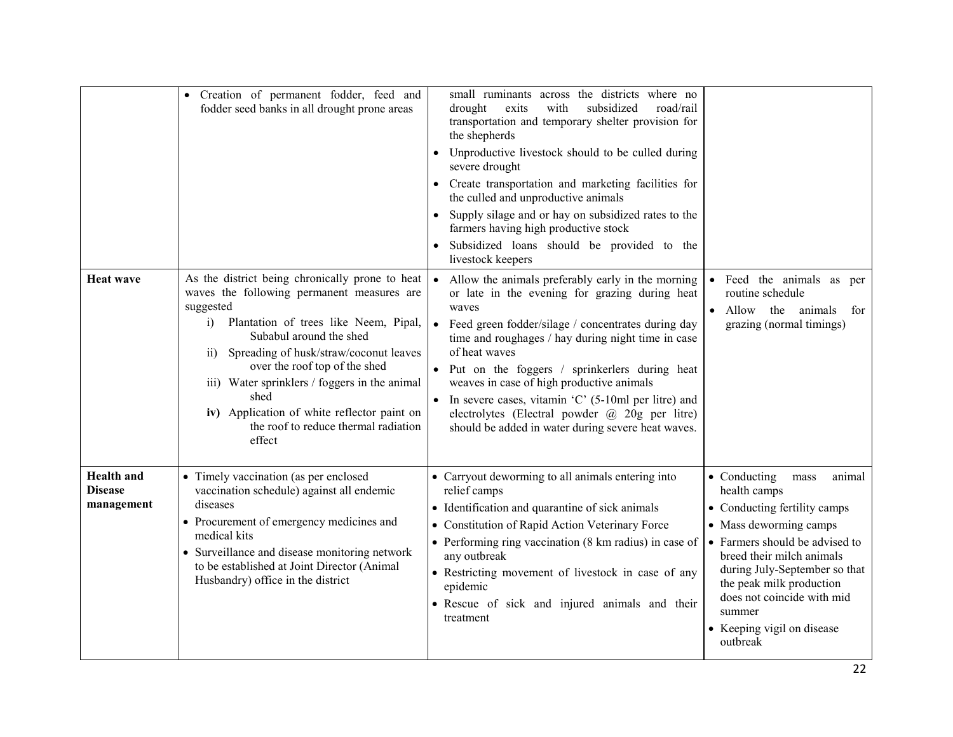|                                                   | • Creation of permanent fodder, feed and<br>fodder seed banks in all drought prone areas                                                                                                                                                                                                                                                                                                                                                     | small ruminants across the districts where no<br>exits<br>with<br>subsidized<br>road/rail<br>drought<br>transportation and temporary shelter provision for<br>the shepherds<br>Unproductive livestock should to be culled during<br>severe drought<br>Create transportation and marketing facilities for<br>the culled and unproductive animals<br>Supply silage and or hay on subsidized rates to the<br>farmers having high productive stock<br>Subsidized loans should be provided to the<br>livestock keepers                              |                                                                                                                                                                                                                                                                                                                                |
|---------------------------------------------------|----------------------------------------------------------------------------------------------------------------------------------------------------------------------------------------------------------------------------------------------------------------------------------------------------------------------------------------------------------------------------------------------------------------------------------------------|------------------------------------------------------------------------------------------------------------------------------------------------------------------------------------------------------------------------------------------------------------------------------------------------------------------------------------------------------------------------------------------------------------------------------------------------------------------------------------------------------------------------------------------------|--------------------------------------------------------------------------------------------------------------------------------------------------------------------------------------------------------------------------------------------------------------------------------------------------------------------------------|
| <b>Heat wave</b>                                  | As the district being chronically prone to heat<br>waves the following permanent measures are<br>suggested<br>Plantation of trees like Neem, Pipal,<br>i)<br>Subabul around the shed<br>Spreading of husk/straw/coconut leaves<br>$\overline{11}$<br>over the roof top of the shed<br>iii) Water sprinklers / foggers in the animal<br>shed<br>iv) Application of white reflector paint on<br>the roof to reduce thermal radiation<br>effect | Allow the animals preferably early in the morning<br>or late in the evening for grazing during heat<br>waves<br>Feed green fodder/silage / concentrates during day<br>$\bullet$<br>time and roughages / hay during night time in case<br>of heat waves<br>Put on the foggers / sprinkerlers during heat<br>weaves in case of high productive animals<br>In severe cases, vitamin $^{\circ}$ C $^{\circ}$ (5-10ml per litre) and<br>electrolytes (Electral powder $\omega$ 20g per litre)<br>should be added in water during severe heat waves. | Feed the animals as per<br>routine schedule<br>Allow<br>the animals<br>for<br>grazing (normal timings)                                                                                                                                                                                                                         |
| <b>Health</b> and<br><b>Disease</b><br>management | • Timely vaccination (as per enclosed<br>vaccination schedule) against all endemic<br>diseases<br>• Procurement of emergency medicines and<br>medical kits<br>• Surveillance and disease monitoring network<br>to be established at Joint Director (Animal<br>Husbandry) office in the district                                                                                                                                              | • Carryout deworming to all animals entering into<br>relief camps<br>• Identification and quarantine of sick animals<br>• Constitution of Rapid Action Veterinary Force<br>• Performing ring vaccination (8 km radius) in case of<br>any outbreak<br>• Restricting movement of livestock in case of any<br>epidemic<br>• Rescue of sick and injured animals and their<br>treatment                                                                                                                                                             | • Conducting<br>animal<br>${\rm mass}$<br>health camps<br>• Conducting fertility camps<br>• Mass deworming camps<br>• Farmers should be advised to<br>breed their milch animals<br>during July-September so that<br>the peak milk production<br>does not coincide with mid<br>summer<br>• Keeping vigil on disease<br>outbreak |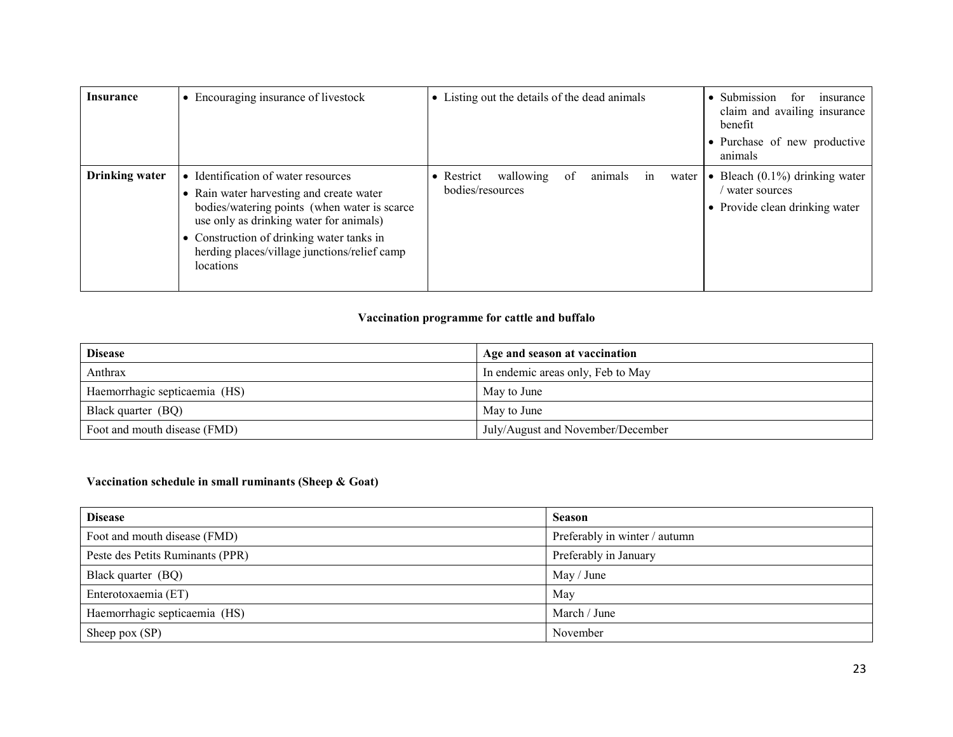| Insurance             | • Encouraging insurance of livestock                                                                                                                                                                                                                                                 | • Listing out the details of the dead animals                               | • Submission<br>for<br>insurance<br>claim and availing insurance<br>benefit<br>• Purchase of new productive<br>animals |
|-----------------------|--------------------------------------------------------------------------------------------------------------------------------------------------------------------------------------------------------------------------------------------------------------------------------------|-----------------------------------------------------------------------------|------------------------------------------------------------------------------------------------------------------------|
| <b>Drinking water</b> | • Identification of water resources<br>• Rain water harvesting and create water<br>bodies/watering points (when water is scarce<br>use only as drinking water for animals)<br>• Construction of drinking water tanks in<br>herding places/village junctions/relief camp<br>locations | of<br>animals<br>wallowing<br>Restrict<br>water  <br>in<br>bodies/resources | • Bleach $(0.1\%)$ drinking water<br>water sources<br>• Provide clean drinking water                                   |

### Vaccination programme for cattle and buffalo

| <b>Disease</b>                | Age and season at vaccination     |
|-------------------------------|-----------------------------------|
| Anthrax                       | In endemic areas only, Feb to May |
| Haemorrhagic septicaemia (HS) | May to June                       |
| Black quarter (BQ)            | May to June                       |
| Foot and mouth disease (FMD)  | July/August and November/December |

### Vaccination schedule in small ruminants (Sheep & Goat)

| <b>Disease</b>                   | <b>Season</b>                 |
|----------------------------------|-------------------------------|
| Foot and mouth disease (FMD)     | Preferably in winter / autumn |
| Peste des Petits Ruminants (PPR) | Preferably in January         |
| Black quarter (BQ)               | May / June                    |
| Enterotoxaemia (ET)              | May                           |
| Haemorrhagic septicaemia (HS)    | March / June                  |
| Sheep pox $(SP)$                 | November                      |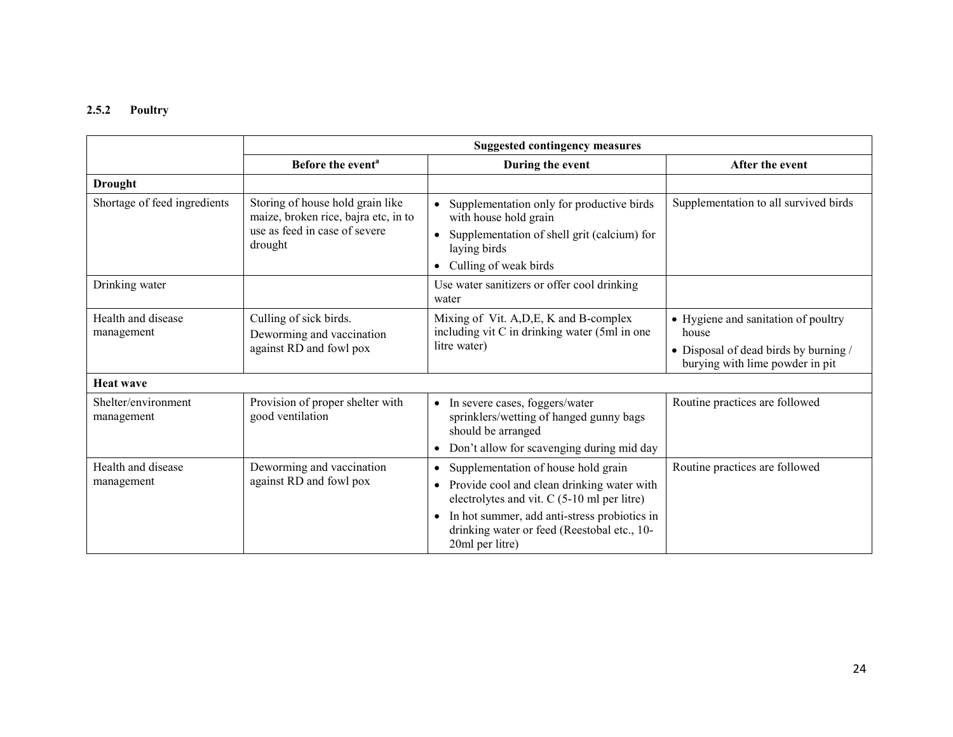# 2.5.2 Poultry

|                                   | <b>Suggested contingency measures</b>                                                                                |                                                                                                                                                                                                                                                                                           |                                                                                                                          |  |  |
|-----------------------------------|----------------------------------------------------------------------------------------------------------------------|-------------------------------------------------------------------------------------------------------------------------------------------------------------------------------------------------------------------------------------------------------------------------------------------|--------------------------------------------------------------------------------------------------------------------------|--|--|
|                                   | Before the event <sup>a</sup>                                                                                        | During the event                                                                                                                                                                                                                                                                          | After the event                                                                                                          |  |  |
| <b>Drought</b>                    |                                                                                                                      |                                                                                                                                                                                                                                                                                           |                                                                                                                          |  |  |
| Shortage of feed ingredients      | Storing of house hold grain like<br>maize, broken rice, bajra etc, in to<br>use as feed in case of severe<br>drought | Supplementation only for productive birds<br>$\bullet$<br>with house hold grain<br>Supplementation of shell grit (calcium) for<br>laying birds<br>Culling of weak birds<br>$\bullet$                                                                                                      | Supplementation to all survived birds                                                                                    |  |  |
| Drinking water                    |                                                                                                                      | Use water sanitizers or offer cool drinking<br>water                                                                                                                                                                                                                                      |                                                                                                                          |  |  |
| Health and disease<br>management  | Culling of sick birds.<br>Deworming and vaccination<br>against RD and fowl pox                                       | Mixing of Vit. A, D, E, K and B-complex<br>including vit C in drinking water (5ml in one<br>litre water)                                                                                                                                                                                  | • Hygiene and sanitation of poultry<br>house<br>• Disposal of dead birds by burning /<br>burying with lime powder in pit |  |  |
| <b>Heat wave</b>                  |                                                                                                                      |                                                                                                                                                                                                                                                                                           |                                                                                                                          |  |  |
| Shelter/environment<br>management | Provision of proper shelter with<br>good ventilation                                                                 | In severe cases, foggers/water<br>$\bullet$<br>sprinklers/wetting of hanged gunny bags<br>should be arranged<br>Don't allow for scavenging during mid day<br>$\bullet$                                                                                                                    | Routine practices are followed                                                                                           |  |  |
| Health and disease<br>management  | Deworming and vaccination<br>against RD and fowl pox                                                                 | Supplementation of house hold grain<br>$\bullet$<br>Provide cool and clean drinking water with<br>$\bullet$<br>electrolytes and vit. C (5-10 ml per litre)<br>In hot summer, add anti-stress probiotics in<br>$\bullet$<br>drinking water or feed (Reestobal etc., 10-<br>20ml per litre) | Routine practices are followed                                                                                           |  |  |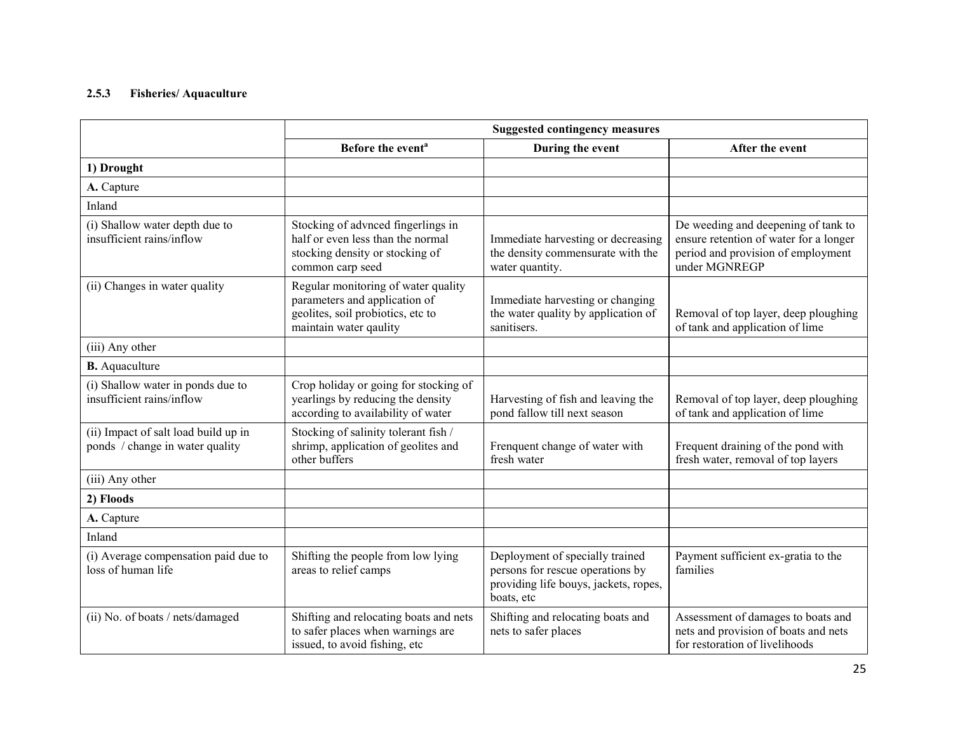### 2.5.3 Fisheries/ Aquaculture

|                                                                         | <b>Suggested contingency measures</b>                                                                                               |                                                                                                                            |                                                                                                                                      |
|-------------------------------------------------------------------------|-------------------------------------------------------------------------------------------------------------------------------------|----------------------------------------------------------------------------------------------------------------------------|--------------------------------------------------------------------------------------------------------------------------------------|
|                                                                         | Before the event <sup>a</sup>                                                                                                       | During the event                                                                                                           | After the event                                                                                                                      |
| 1) Drought                                                              |                                                                                                                                     |                                                                                                                            |                                                                                                                                      |
| A. Capture                                                              |                                                                                                                                     |                                                                                                                            |                                                                                                                                      |
| Inland                                                                  |                                                                                                                                     |                                                                                                                            |                                                                                                                                      |
| (i) Shallow water depth due to<br>insufficient rains/inflow             | Stocking of advnced fingerlings in<br>half or even less than the normal<br>stocking density or stocking of<br>common carp seed      | Immediate harvesting or decreasing<br>the density commensurate with the<br>water quantity.                                 | De weeding and deepening of tank to<br>ensure retention of water for a longer<br>period and provision of employment<br>under MGNREGP |
| (ii) Changes in water quality                                           | Regular monitoring of water quality<br>parameters and application of<br>geolites, soil probiotics, etc to<br>maintain water qaulity | Immediate harvesting or changing<br>the water quality by application of<br>sanitisers.                                     | Removal of top layer, deep ploughing<br>of tank and application of lime                                                              |
| (iii) Any other                                                         |                                                                                                                                     |                                                                                                                            |                                                                                                                                      |
| <b>B.</b> Aquaculture                                                   |                                                                                                                                     |                                                                                                                            |                                                                                                                                      |
| (i) Shallow water in ponds due to<br>insufficient rains/inflow          | Crop holiday or going for stocking of<br>yearlings by reducing the density<br>according to availability of water                    | Harvesting of fish and leaving the<br>pond fallow till next season                                                         | Removal of top layer, deep ploughing<br>of tank and application of lime                                                              |
| (ii) Impact of salt load build up in<br>ponds / change in water quality | Stocking of salinity tolerant fish /<br>shrimp, application of geolites and<br>other buffers                                        | Frenquent change of water with<br>fresh water                                                                              | Frequent draining of the pond with<br>fresh water, removal of top layers                                                             |
| (iii) Any other                                                         |                                                                                                                                     |                                                                                                                            |                                                                                                                                      |
| 2) Floods                                                               |                                                                                                                                     |                                                                                                                            |                                                                                                                                      |
| A. Capture                                                              |                                                                                                                                     |                                                                                                                            |                                                                                                                                      |
| Inland                                                                  |                                                                                                                                     |                                                                                                                            |                                                                                                                                      |
| (i) Average compensation paid due to<br>loss of human life              | Shifting the people from low lying<br>areas to relief camps                                                                         | Deployment of specially trained<br>persons for rescue operations by<br>providing life bouys, jackets, ropes,<br>boats, etc | Payment sufficient ex-gratia to the<br>families                                                                                      |
| (ii) No. of boats / nets/damaged                                        | Shifting and relocating boats and nets<br>to safer places when warnings are<br>issued, to avoid fishing, etc                        | Shifting and relocating boats and<br>nets to safer places                                                                  | Assessment of damages to boats and<br>nets and provision of boats and nets<br>for restoration of livelihoods                         |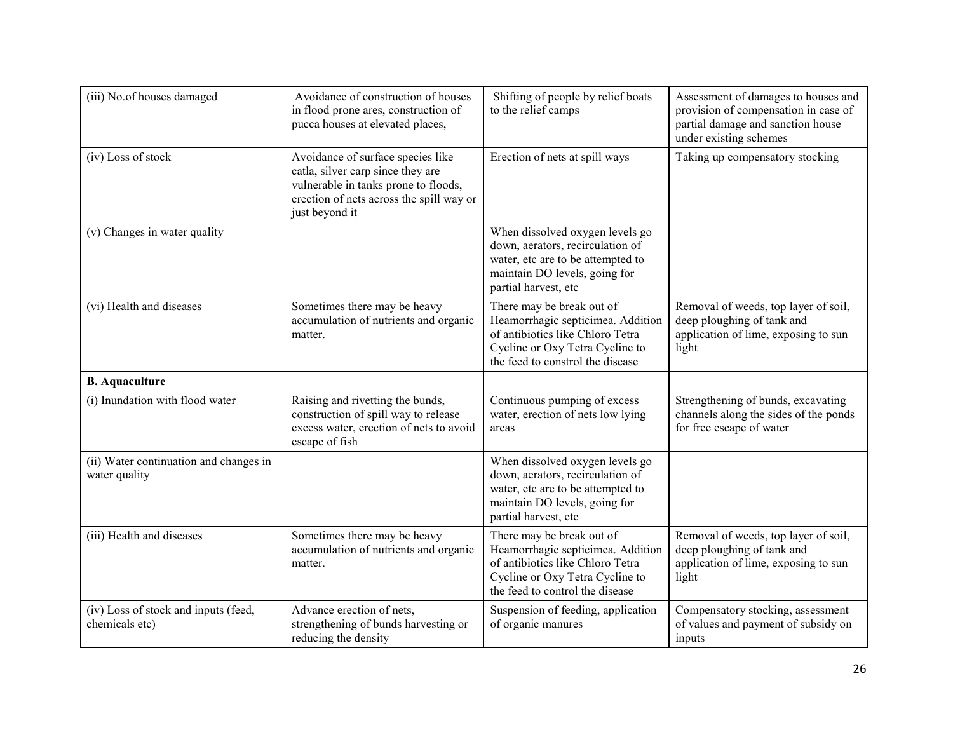| (iii) No.of houses damaged                              | Avoidance of construction of houses<br>in flood prone ares, construction of<br>pucca houses at elevated places,                                                              | Shifting of people by relief boats<br>to the relief camps                                                                                                                 | Assessment of damages to houses and<br>provision of compensation in case of<br>partial damage and sanction house<br>under existing schemes |
|---------------------------------------------------------|------------------------------------------------------------------------------------------------------------------------------------------------------------------------------|---------------------------------------------------------------------------------------------------------------------------------------------------------------------------|--------------------------------------------------------------------------------------------------------------------------------------------|
| (iv) Loss of stock                                      | Avoidance of surface species like<br>catla, silver carp since they are<br>vulnerable in tanks prone to floods,<br>erection of nets across the spill way or<br>just beyond it | Erection of nets at spill ways                                                                                                                                            | Taking up compensatory stocking                                                                                                            |
| (v) Changes in water quality                            |                                                                                                                                                                              | When dissolved oxygen levels go<br>down, aerators, recirculation of<br>water, etc are to be attempted to<br>maintain DO levels, going for<br>partial harvest, etc         |                                                                                                                                            |
| (vi) Health and diseases                                | Sometimes there may be heavy<br>accumulation of nutrients and organic<br>matter.                                                                                             | There may be break out of<br>Heamorrhagic septicimea. Addition<br>of antibiotics like Chloro Tetra<br>Cycline or Oxy Tetra Cycline to<br>the feed to constrol the disease | Removal of weeds, top layer of soil,<br>deep ploughing of tank and<br>application of lime, exposing to sun<br>light                        |
| <b>B.</b> Aquaculture                                   |                                                                                                                                                                              |                                                                                                                                                                           |                                                                                                                                            |
| (i) Inundation with flood water                         | Raising and rivetting the bunds,<br>construction of spill way to release<br>excess water, erection of nets to avoid<br>escape of fish                                        | Continuous pumping of excess<br>water, erection of nets low lying<br>areas                                                                                                | Strengthening of bunds, excavating<br>channels along the sides of the ponds<br>for free escape of water                                    |
| (ii) Water continuation and changes in<br>water quality |                                                                                                                                                                              | When dissolved oxygen levels go<br>down, aerators, recirculation of<br>water, etc are to be attempted to<br>maintain DO levels, going for<br>partial harvest, etc         |                                                                                                                                            |
| (iii) Health and diseases                               | Sometimes there may be heavy<br>accumulation of nutrients and organic<br>matter.                                                                                             | There may be break out of<br>Heamorrhagic septicimea. Addition<br>of antibiotics like Chloro Tetra<br>Cycline or Oxy Tetra Cycline to<br>the feed to control the disease  | Removal of weeds, top layer of soil,<br>deep ploughing of tank and<br>application of lime, exposing to sun<br>light                        |
| (iv) Loss of stock and inputs (feed,<br>chemicals etc)  | Advance erection of nets,<br>strengthening of bunds harvesting or<br>reducing the density                                                                                    | Suspension of feeding, application<br>of organic manures                                                                                                                  | Compensatory stocking, assessment<br>of values and payment of subsidy on<br>inputs                                                         |